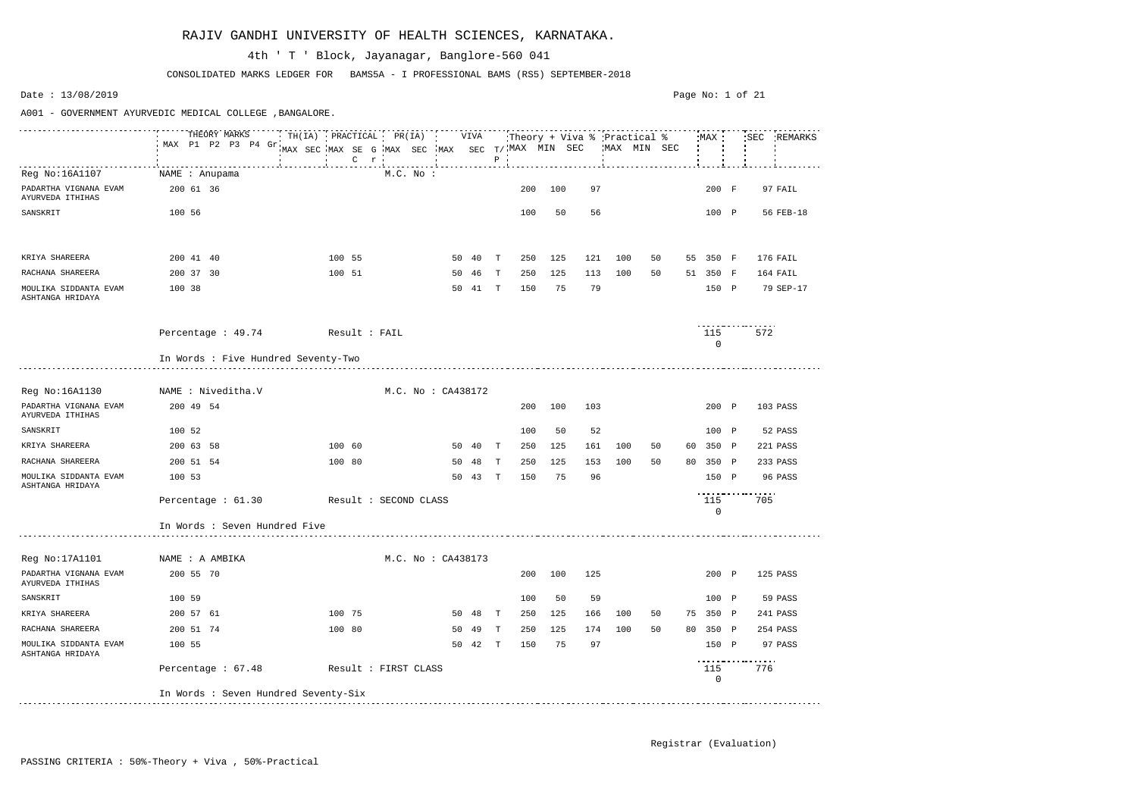|                                           | THEORY MARKS<br>MAX P1 P2 P3 P4 Gr   | TH(IA) PRACTICAL PR(IA) VIVA<br>MAX SEC MAX SE G MAX SEC MAX SEC T/MAX MIN SEC |         |                        |    |         |              |     |     | :Theory + Viva % :Practical % | MAX MIN SEC |    |    | MAX                |          | SEC REMARKS |
|-------------------------------------------|--------------------------------------|--------------------------------------------------------------------------------|---------|------------------------|----|---------|--------------|-----|-----|-------------------------------|-------------|----|----|--------------------|----------|-------------|
|                                           |                                      |                                                                                | $C$ $r$ |                        |    |         | $P$ .        |     |     |                               |             |    |    |                    |          |             |
| Reg No:16A1107                            | NAME : Anupama                       |                                                                                |         | M.C. No.               |    |         |              |     |     |                               |             |    |    |                    |          |             |
| PADARTHA VIGNANA EVAM<br>AYURVEDA ITHIHAS | 200 61 36                            |                                                                                |         |                        |    |         |              | 200 | 100 | 97                            |             |    |    | 200 F              |          | 97 FAIL     |
| SANSKRIT                                  | 100 56                               |                                                                                |         |                        |    |         |              | 100 | 50  | 56                            |             |    |    | 100 P              |          | 56 FEB-18   |
|                                           |                                      |                                                                                |         |                        |    |         |              |     |     |                               |             |    |    |                    |          |             |
|                                           |                                      |                                                                                |         |                        |    |         |              |     |     |                               |             |    |    |                    |          |             |
| KRIYA SHAREERA                            | 200 41 40                            | 100 55                                                                         |         |                        |    | 50 40   | $\mathbf{T}$ | 250 | 125 | 121                           | 100         | 50 |    | 55 350 F           |          | 176 FAIL    |
| RACHANA SHAREERA                          | 200 37 30                            | 100 51                                                                         |         |                        | 50 | 46      | T            | 250 | 125 | 113                           | 100         | 50 |    | 51 350 F           |          | 164 FAIL    |
| MOULIKA SIDDANTA EVAM<br>ASHTANGA HRIDAYA | 100 38                               |                                                                                |         |                        |    | 50 41 T |              | 150 | 75  | 79                            |             |    |    | 150 P              |          | 79 SEP-17   |
|                                           |                                      |                                                                                |         |                        |    |         |              |     |     |                               |             |    |    |                    |          |             |
|                                           | Percentage: 49.74 Result: FAIL       |                                                                                |         |                        |    |         |              |     |     |                               |             |    |    | 115                | 572      |             |
|                                           |                                      |                                                                                |         |                        |    |         |              |     |     |                               |             |    |    | $\mathbf 0$        |          |             |
|                                           | In Words : Five Hundred Seventy-Two  |                                                                                |         |                        |    |         |              |     |     |                               |             |    |    |                    |          |             |
|                                           |                                      |                                                                                |         |                        |    |         |              |     |     |                               |             |    |    |                    |          |             |
| Reg No:16A1130                            | NAME : Niveditha.V                   |                                                                                |         | $M.C.$ No : $CA438172$ |    |         |              |     |     |                               |             |    |    |                    |          |             |
| PADARTHA VIGNANA EVAM<br>AYURVEDA ITHIHAS | 200 49 54                            |                                                                                |         |                        |    |         |              | 200 | 100 | 103                           |             |    |    | 200 P              |          | 103 PASS    |
| SANSKRIT                                  | 100 52                               |                                                                                |         |                        |    |         |              | 100 | 50  | 52                            |             |    |    | 100 P              |          | 52 PASS     |
| KRIYA SHAREERA                            | 200 63 58                            | 100 60                                                                         |         |                        |    | 50 40   | $\mathbf{T}$ | 250 | 125 | 161                           | 100         | 50 | 60 | 350 P              |          | 221 PASS    |
| RACHANA SHAREERA                          | 200 51 54                            | 100 80                                                                         |         |                        |    | 50 48   | T            | 250 | 125 | 153                           | 100         | 50 |    | 80 350 P           |          | 233 PASS    |
| MOULIKA SIDDANTA EVAM<br>ASHTANGA HRIDAYA | 100 53                               |                                                                                |         |                        | 50 | 43      | T            | 150 | 75  | 96                            |             |    |    | 150 P              |          | 96 PASS     |
|                                           | Percentage : 61.30                   | Result : SECOND CLASS                                                          |         |                        |    |         |              |     |     |                               |             |    |    | 115<br>$\mathbf 0$ | .<br>705 |             |
|                                           | In Words : Seven Hundred Five        |                                                                                |         |                        |    |         |              |     |     |                               |             |    |    |                    |          |             |
|                                           |                                      |                                                                                |         |                        |    |         |              |     |     |                               |             |    |    |                    |          |             |
| Reg No:17A1101                            | NAME : A AMBIKA                      |                                                                                |         | M.C. No : CA438173     |    |         |              |     |     |                               |             |    |    |                    |          |             |
| PADARTHA VIGNANA EVAM<br>AYURVEDA ITHIHAS | 200 55 70                            |                                                                                |         |                        |    |         |              | 200 | 100 | 125                           |             |    |    | 200 P              |          | 125 PASS    |
| SANSKRIT                                  | 100 59                               |                                                                                |         |                        |    |         |              | 100 | 50  | 59                            |             |    |    | 100 P              |          | 59 PASS     |
| KRIYA SHAREERA                            | 200 57 61                            | 100 75                                                                         |         |                        |    | 50 48 T |              | 250 | 125 | 166                           | 100         | 50 |    | 75 350 P           |          | 241 PASS    |
| RACHANA SHAREERA                          | 200 51 74                            | 100 80                                                                         |         |                        |    | 50 49   | $\mathbf{T}$ | 250 | 125 | 174                           | 100         | 50 |    | 80 350 P           |          | 254 PASS    |
| MOULIKA SIDDANTA EVAM<br>ASHTANGA HRIDAYA | 100 55                               |                                                                                |         |                        |    | 50 42 T |              | 150 | 75  | 97                            |             |    |    | 150 P              |          | 97 PASS     |
|                                           | Percentage : 67.48                   | Result : FIRST CLASS                                                           |         |                        |    |         |              |     |     |                               |             |    |    | 115<br>0           | 776      |             |
|                                           | In Words : Seven Hundred Seventy-Six |                                                                                |         |                        |    |         |              |     |     |                               |             |    |    |                    |          |             |

CONSOLIDATED MARKS LEDGER FOR BAMS5A - I PROFESSIONAL BAMS (RS5) SEPTEMBER-2018

### 4th ' T ' Block, Jayanagar, Banglore-560 041

Date : 13/08/2019

A001 - GOVERNMENT AYURVEDIC MEDICAL COLLEGE ,BANGALORE.

#### Page No: 1 of 21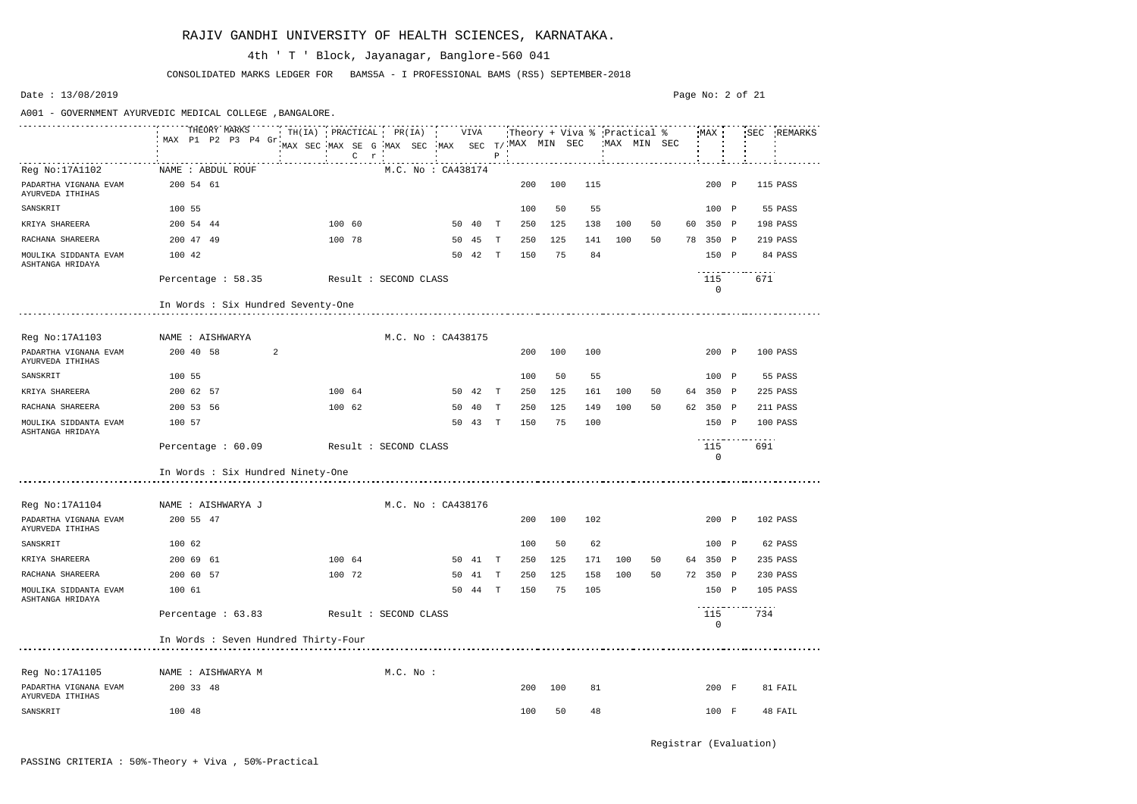|                                           |        |           | THEORY MARKS<br>MAX P1 P2 P3 P4 Gr   |   |                       |        | $C$ $r$ |                       |             |                    |         | $P$ $\cdot$  | MAX SEC MAX SE G MAX SEC MAX SEC T/ MAX MIN SEC WAX MIN SEC |     |     |     |    |                 |     | TH(IA) PRACTICAL PR(IA) : VIVA Theory + Viva % Practical % MAX : SEC REMARKS |
|-------------------------------------------|--------|-----------|--------------------------------------|---|-----------------------|--------|---------|-----------------------|-------------|--------------------|---------|--------------|-------------------------------------------------------------|-----|-----|-----|----|-----------------|-----|------------------------------------------------------------------------------|
| Reg No:17A1102                            |        |           | NAME : ABDUL ROUF                    |   |                       |        |         |                       |             | M.C. No : CA438174 |         |              |                                                             |     |     |     |    |                 |     |                                                                              |
| PADARTHA VIGNANA EVAM<br>AYURVEDA ITHIHAS |        | 200 54 61 |                                      |   |                       |        |         |                       |             |                    |         |              | 200                                                         | 100 | 115 |     |    | 200 P           |     | 115 PASS                                                                     |
| SANSKRIT                                  | 100 55 |           |                                      |   |                       |        |         |                       |             |                    |         |              | 100                                                         | 50  | 55  |     |    | 100 P           |     | 55 PASS                                                                      |
| KRIYA SHAREERA                            |        | 200 54 44 |                                      |   |                       | 100 60 |         |                       |             |                    | 50 40   | $\mathbf{T}$ | 250                                                         | 125 | 138 | 100 | 50 | 60 350 P        |     | 198 PASS                                                                     |
| RACHANA SHAREERA                          |        | 200 47 49 |                                      |   |                       | 100 78 |         |                       |             |                    | 50 45   | $\mathbf{T}$ | 250                                                         | 125 | 141 | 100 | 50 | 78 350 P        |     | 219 PASS                                                                     |
| MOULIKA SIDDANTA EVAM<br>ASHTANGA HRIDAYA | 100 42 |           |                                      |   |                       |        |         |                       |             |                    | 50 42 T |              | 150                                                         | 75  | 84  |     |    | 150 P           | .   | 84 PASS                                                                      |
|                                           |        |           | Percentage $: 58.35$                 |   | Result : SECOND CLASS |        |         |                       |             |                    |         |              |                                                             |     |     |     |    | 115<br>$\Omega$ | 671 |                                                                              |
|                                           |        |           | In Words : Six Hundred Seventy-One   |   |                       |        |         |                       |             |                    |         |              |                                                             |     |     |     |    |                 |     |                                                                              |
| Reg No:17A1103<br>NAME : AISHWARYA        |        |           |                                      |   |                       |        |         |                       |             | M.C. No : CA438175 |         |              |                                                             |     |     |     |    |                 |     |                                                                              |
| PADARTHA VIGNANA EVAM<br>AYURVEDA ITHIHAS |        | 200 40 58 |                                      | 2 |                       |        |         |                       |             |                    |         |              | 200                                                         | 100 | 100 |     |    | 200 P           |     | 100 PASS                                                                     |
| SANSKRIT                                  | 100 55 |           |                                      |   |                       |        |         |                       |             |                    |         |              | 100                                                         | 50  | 55  |     |    | 100 P           |     | 55 PASS                                                                      |
| KRIYA SHAREERA                            |        | 200 62 57 |                                      |   |                       | 100 64 |         |                       |             |                    | 50 42   | $\mathbf{T}$ | 250                                                         | 125 | 161 | 100 | 50 | 64 350 P        |     | 225 PASS                                                                     |
| RACHANA SHAREERA                          |        | 200 53 56 |                                      |   |                       | 100 62 |         |                       |             | 50                 | 40      | T            | 250                                                         | 125 | 149 | 100 | 50 | 62 350 P        |     | 211 PASS                                                                     |
| MOULIKA SIDDANTA EVAM<br>ASHTANGA HRIDAYA | 100 57 |           |                                      |   |                       |        |         |                       |             |                    | 50 43 T |              | 150                                                         | 75  | 100 |     |    | 150 P           |     | 100 PASS                                                                     |
|                                           |        |           | Percentage : 60.09                   |   | Result : SECOND CLASS |        |         |                       |             |                    |         |              |                                                             |     |     |     |    | 115<br>$\Omega$ | 691 |                                                                              |
|                                           |        |           | In Words : Six Hundred Ninety-One    |   |                       |        |         |                       |             |                    |         |              |                                                             |     |     |     |    |                 |     |                                                                              |
| Reg No:17A1104<br>NAME : AISHWARYA J      |        |           |                                      |   |                       |        |         |                       |             | M.C. No : CA438176 |         |              |                                                             |     |     |     |    |                 |     |                                                                              |
| PADARTHA VIGNANA EVAM<br>AYURVEDA ITHIHAS |        | 200 55 47 |                                      |   |                       |        |         |                       |             |                    |         |              | 200                                                         | 100 | 102 |     |    | 200 P           |     | 102 PASS                                                                     |
| SANSKRIT                                  | 100 62 |           |                                      |   |                       |        |         |                       |             |                    |         |              | 100                                                         | 50  | 62  |     |    | 100 P           |     | 62 PASS                                                                      |
| KRIYA SHAREERA                            |        | 200 69 61 |                                      |   |                       | 100 64 |         |                       |             |                    | 50 41 T |              | 250                                                         | 125 | 171 | 100 | 50 | 64 350 P        |     | 235 PASS                                                                     |
| RACHANA SHAREERA                          |        | 200 60 57 |                                      |   |                       | 100 72 |         |                       |             |                    | 50 41 T |              | 250                                                         | 125 | 158 | 100 | 50 | 72 350 P        |     | 230 PASS                                                                     |
| MOULIKA SIDDANTA EVAM<br>ASHTANGA HRIDAYA | 100 61 |           |                                      |   |                       |        |         |                       |             |                    | 50 44 T |              | 150                                                         | 75  | 105 |     |    | 150 P           |     | 105 PASS                                                                     |
|                                           |        |           | Percentage $: 63.83$                 |   |                       |        |         | Result : SECOND CLASS |             |                    |         |              |                                                             |     |     |     |    | 115<br>0        | 734 |                                                                              |
|                                           |        |           | In Words : Seven Hundred Thirty-Four |   |                       |        |         |                       |             |                    |         |              |                                                             |     |     |     |    |                 |     |                                                                              |
| Reg No:17A1105                            |        |           | NAME : AISHWARYA M                   |   |                       |        |         |                       | $M.C.$ No : |                    |         |              |                                                             |     |     |     |    |                 |     |                                                                              |
| PADARTHA VIGNANA EVAM<br>AYURVEDA ITHIHAS |        | 200 33 48 |                                      |   |                       |        |         |                       |             |                    |         |              | 200                                                         | 100 | 81  |     |    | 200 F           |     | 81 FAIL                                                                      |
| SANSKRIT                                  | 100 48 |           |                                      |   |                       |        |         |                       |             |                    |         |              | 100                                                         | 50  | 48  |     |    | 100 F           |     | 48 FAIL                                                                      |

CONSOLIDATED MARKS LEDGER FOR BAMS5A - I PROFESSIONAL BAMS (RS5) SEPTEMBER-2018

### 4th ' T ' Block, Jayanagar, Banglore-560 041

Date : 13/08/2019

#### A001 - GOVERNMENT AYURVEDIC MEDICAL COLLEGE ,BANGALORE.

Page No: 2 of 21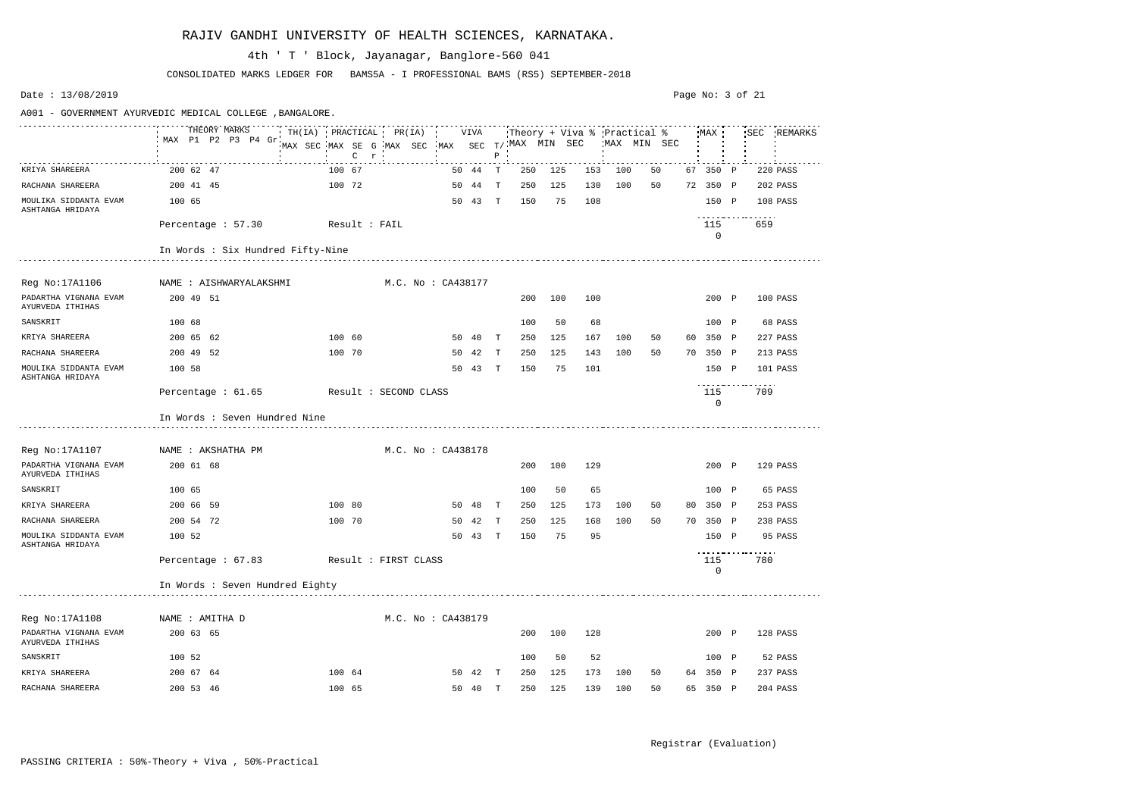|                                           | A001 - GOVERNMENT AYURVEDIC MEDICAL COLLEGE , BANGALORE. |                                                |                    |                     |                |                               |                           |             |
|-------------------------------------------|----------------------------------------------------------|------------------------------------------------|--------------------|---------------------|----------------|-------------------------------|---------------------------|-------------|
|                                           | THEORY MARKS                                             | TH(IA) PRACTICAL PR(IA) VIVA                   |                    |                     |                | Theory + Viva % 'Practical %' | MAX                       | SEC REMARKS |
|                                           | MAX P1 P2 P3 P4 Gr                                       | MAX SEC MAX SE G MAX SEC MAX SEC T/MAX MIN SEC |                    |                     |                | MAX MIN SEC                   |                           |             |
|                                           |                                                          | $C \rightharpoonup r$                          |                    | $\, {\bf P}$        |                |                               |                           |             |
| KRIYA SHAREERA                            | 200 62 47                                                | 100 67                                         | 50 44              | T<br>250            | 125<br>153     | 100<br>50                     | 67 350 P                  | 220 PASS    |
| RACHANA SHAREERA                          | 200 41 45                                                | 100 72                                         | 50 44 T            | 250                 | 125<br>130     | 100<br>50                     | 72 350 P                  | 202 PASS    |
| MOULIKA SIDDANTA EVAM<br>ASHTANGA HRIDAYA | 100 65                                                   |                                                | 50 43 T            | 150                 | 75<br>108      |                               | 150 P                     | 108 PASS    |
|                                           | Percentage : 57.30                                       | Result : FAIL                                  |                    |                     |                |                               | 115                       | 659         |
|                                           |                                                          |                                                |                    |                     |                |                               | $\Omega$                  |             |
|                                           | In Words : Six Hundred Fifty-Nine                        |                                                |                    |                     |                |                               |                           |             |
|                                           |                                                          |                                                |                    |                     |                |                               |                           |             |
| Reg No:17A1106                            | NAME : AISHWARYALAKSHMI                                  |                                                | M.C. No : CA438177 |                     |                |                               |                           |             |
| PADARTHA VIGNANA EVAM<br>AYURVEDA ITHIHAS | 200 49 51                                                |                                                |                    | 200                 | 100<br>100     |                               | 200 P                     | 100 PASS    |
| SANSKRIT                                  | 100 68                                                   |                                                |                    | 100                 | 50<br>68       |                               | 100 P                     | 68 PASS     |
| KRIYA SHAREERA                            | 200 65 62                                                | 100 60                                         | 50 40              | T<br>250            | 125<br>167     | 100<br>50                     | 350 P<br>60               | 227 PASS    |
| RACHANA SHAREERA                          | 200 49 52                                                | 100 70                                         | 50<br>42           | 250<br>т            | 125<br>143     | 100<br>50                     | 350<br>70<br>$\mathbb{P}$ | 213 PASS    |
| MOULIKA SIDDANTA EVAM<br>ASHTANGA HRIDAYA | 100 58                                                   |                                                | 50 43              | 150<br>$\mathbf{T}$ | 75<br>101      |                               | 150 P                     | 101 PASS    |
|                                           | Percentage : $61.65$                                     | Result : SECOND CLASS                          |                    |                     |                |                               | 115                       | 709         |
|                                           | In Words : Seven Hundred Nine                            |                                                |                    |                     |                |                               | $\mathbf 0$               |             |
| Reg No: 17A1107                           | NAME : AKSHATHA PM                                       |                                                | M.C. No: CA438178  |                     |                |                               |                           |             |
| PADARTHA VIGNANA EVAM<br>AYURVEDA ITHIHAS | 200 61 68                                                |                                                |                    | 200                 | 100<br>129     |                               | 200 P                     | 129 PASS    |
| SANSKRIT                                  | 100 65                                                   |                                                |                    | 100                 | 50<br>65       |                               | 100 P                     | 65 PASS     |
| KRIYA SHAREERA                            | 200 66 59                                                | 100 80                                         | 50<br>- 48         | 250<br>T            | 125<br>173     | 100<br>50                     | 80 350 P                  | 253 PASS    |
| RACHANA SHAREERA                          | 200 54 72                                                | 100 70                                         | 50 42              | $\mathbb T$<br>250  | 125<br>168     | 100<br>50                     | 70 350 P                  | 238 PASS    |
| MOULIKA SIDDANTA EVAM<br>ASHTANGA HRIDAYA | 100 52                                                   |                                                | 50 43 T            | 150                 | 75<br>95       |                               | 150 P                     | 95 PASS     |
|                                           | Percentage : 67.83 Result : FIRST CLASS                  |                                                |                    |                     |                |                               | 115<br>$\mathbf 0$        | .<br>780    |
|                                           | In Words : Seven Hundred Eighty                          |                                                |                    |                     |                |                               |                           |             |
|                                           |                                                          |                                                |                    |                     |                |                               |                           |             |
| Reg No:17A1108                            | NAME : AMITHA D                                          |                                                | M.C. No: CA438179  |                     |                |                               |                           |             |
| PADARTHA VIGNANA EVAM<br>AYURVEDA ITHIHAS | 200 63 65                                                |                                                |                    | 200                 | 100<br>128     |                               | 200 P                     | 128 PASS    |
| SANSKRIT                                  | 100 52                                                   |                                                |                    | 100                 | 50<br>52       |                               | 100 P                     | 52 PASS     |
| KRIYA SHAREERA                            | 200 67 64                                                | 100 64                                         | 50 42 T            | 250                 | 173<br>125     | 100<br>50                     | 64 350 P                  | 237 PASS    |
| RACHANA SHAREERA                          | 200 53 46                                                | 100 65                                         | 50 40 T            |                     | 250 125<br>139 | 100<br>50                     | 65 350 P                  | 204 PASS    |

CONSOLIDATED MARKS LEDGER FOR BAMS5A - I PROFESSIONAL BAMS (RS5) SEPTEMBER-2018

### 4th ' T ' Block, Jayanagar, Banglore-560 041

Date : 13/08/2019

Page No: 3 of 21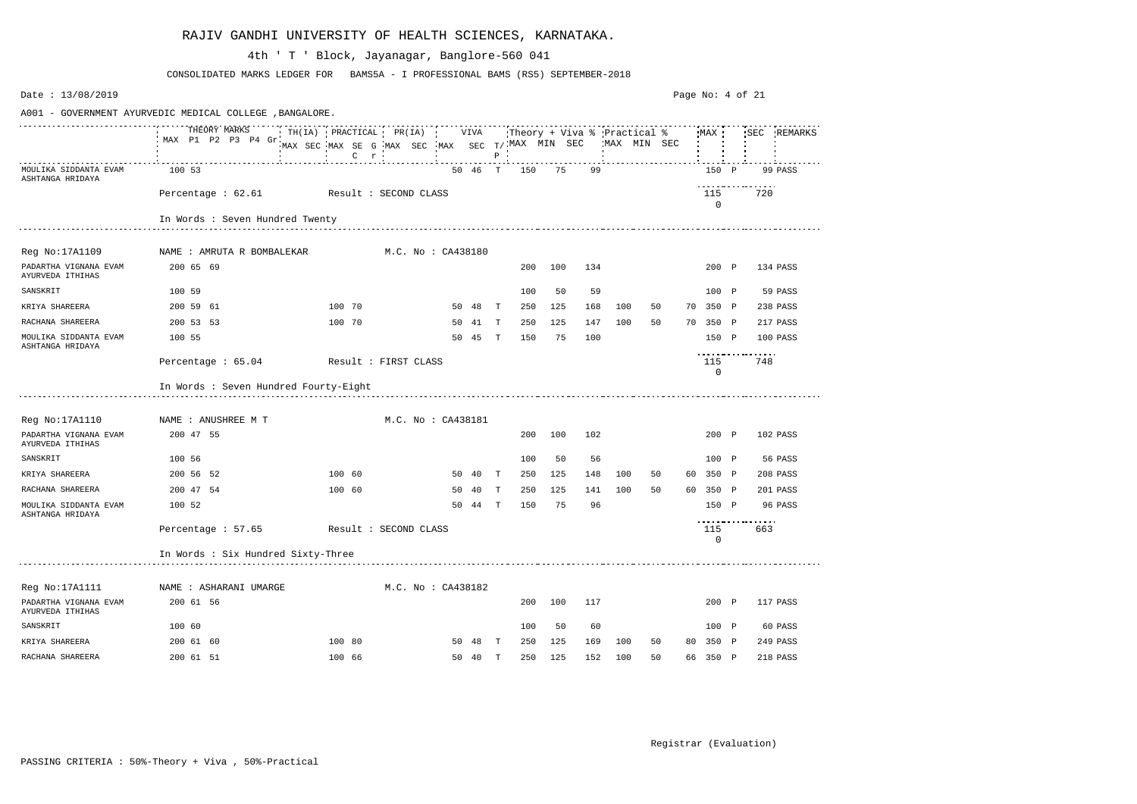| Date: 13/08/2019                          |                                                          |                                                                                                                             |                    |    |         |              |     |     |     |     |             |    |                    | Page No: 4 of 21  |          |             |
|-------------------------------------------|----------------------------------------------------------|-----------------------------------------------------------------------------------------------------------------------------|--------------------|----|---------|--------------|-----|-----|-----|-----|-------------|----|--------------------|-------------------|----------|-------------|
|                                           | A001 - GOVERNMENT AYURVEDIC MEDICAL COLLEGE , BANGALORE. |                                                                                                                             |                    |    |         |              |     |     |     |     |             |    |                    |                   |          |             |
|                                           | THEORY MARKS<br>MAX P1 P2 P3 P4 Gr                       | TH(IA) PRACTICAL PR(IA) VIVA Theory + Viva % Practical % MAX '<br>MAX SEC MAX SE G MAX SEC MAX SEC T/MAX MIN SEC<br>$C$ $r$ |                    |    |         | $P$ $\cdot$  |     |     |     |     | MAX MIN SEC |    |                    |                   |          | SEC REMARKS |
| MOULIKA SIDDANTA EVAM<br>ASHTANGA HRIDAYA | 100 53                                                   |                                                                                                                             |                    |    | 50 46 T |              | 150 | 75  | 99  |     |             |    | 150 P              |                   |          | 99 PASS     |
|                                           | Percentage: 62.61 Result: SECOND CLASS                   |                                                                                                                             |                    |    |         |              |     |     |     |     |             |    | 115<br>$\mathbf 0$ |                   | 720      |             |
|                                           | In Words : Seven Hundred Twenty                          |                                                                                                                             |                    |    |         |              |     |     |     |     |             |    |                    |                   |          |             |
| Reg No:17A1109                            | NAME : AMRUTA R BOMBALEKAR                               |                                                                                                                             | M.C. No : CA438180 |    |         |              |     |     |     |     |             |    |                    |                   |          |             |
| PADARTHA VIGNANA EVAM<br>AYURVEDA ITHIHAS | 200 65 69                                                |                                                                                                                             |                    |    |         |              | 200 | 100 | 134 |     |             |    | 200 P              |                   |          | 134 PASS    |
| SANSKRIT                                  | 100 59                                                   |                                                                                                                             |                    |    |         |              | 100 | 50  | 59  |     |             |    | 100 P              |                   |          | 59 PASS     |
| KRIYA SHAREERA                            | 200 59 61                                                | 100 70                                                                                                                      |                    |    | 50 48   | $\mathbb{T}$ | 250 | 125 | 168 | 100 | 50          |    | 70 350 P           |                   |          | 238 PASS    |
| RACHANA SHAREERA                          | 200 53 53                                                | 100 70                                                                                                                      |                    |    | 50 41 T |              | 250 | 125 | 147 | 100 | 50          |    | 70 350 P           |                   |          | 217 PASS    |
| MOULIKA SIDDANTA EVAM<br>ASHTANGA HRIDAYA | 100 55                                                   |                                                                                                                             |                    |    | 50 45   | $\mathbf{T}$ | 150 | 75  | 100 |     |             |    | 150 P              |                   |          | 100 PASS    |
|                                           | Percentage : 65.04                                       | Result : FIRST CLASS                                                                                                        |                    |    |         |              |     |     |     |     |             |    | 115<br>$\mathbf 0$ | <u>.</u>          | 748      |             |
|                                           | In Words : Seven Hundred Fourty-Eight                    |                                                                                                                             |                    |    |         |              |     |     |     |     |             |    |                    |                   |          |             |
| Reg No:17A1110                            | NAME : ANUSHREE M T                                      |                                                                                                                             | M.C. No : CA438181 |    |         |              |     |     |     |     |             |    |                    |                   |          |             |
| PADARTHA VIGNANA EVAM<br>AYURVEDA ITHIHAS | 200 47 55                                                |                                                                                                                             |                    |    |         |              | 200 | 100 | 102 |     |             |    | 200 P              |                   |          | 102 PASS    |
| SANSKRIT                                  | 100 56                                                   |                                                                                                                             |                    |    |         |              | 100 | 50  | 56  |     |             |    | 100 P              |                   |          | 56 PASS     |
| KRIYA SHAREERA                            | 200 56 52                                                | 100 60                                                                                                                      |                    |    | 50 40   | $\mathbf{T}$ | 250 | 125 | 148 | 100 | 50          | 60 | 350 P              |                   |          | 208 PASS    |
| RACHANA SHAREERA                          | 200 47 54                                                | 100 60                                                                                                                      |                    | 50 | 40      | T            | 250 | 125 | 141 | 100 | 50          |    | 60 350 P           |                   |          | 201 PASS    |
| MOULIKA SIDDANTA EVAM<br>ASHTANGA HRIDAYA | 100 52                                                   |                                                                                                                             |                    |    | 50 44 T |              | 150 | 75  | 96  |     |             |    | 150 P              | ----------------- |          | 96 PASS     |
|                                           | Percentage: 57.65 Result: SECOND CLASS                   |                                                                                                                             |                    |    |         |              |     |     |     |     |             |    | 115<br>0           |                   | 663      |             |
|                                           | In Words : Six Hundred Sixty-Three                       |                                                                                                                             |                    |    |         |              |     |     |     |     |             |    |                    |                   |          |             |
| Reg No:17A1111                            | NAME : ASHARANI UMARGE                                   |                                                                                                                             | M.C. No : CA438182 |    |         |              |     |     |     |     |             |    |                    |                   |          |             |
| PADARTHA VIGNANA EVAM<br>AYURVEDA ITHIHAS | 200 61 56                                                |                                                                                                                             |                    |    |         |              | 200 | 100 | 117 |     |             |    | 200 P              |                   | 117 PASS |             |
| SANSKRIT                                  | 100 60                                                   |                                                                                                                             |                    |    |         |              | 100 | 50  | 60  |     |             |    | 100 P              |                   |          | 60 PASS     |
| KRIYA SHAREERA                            | 200 61 60                                                | 100 80                                                                                                                      |                    |    | 50 48 T |              | 250 | 125 | 169 | 100 | 50          |    | 80 350 P           |                   |          | 249 PASS    |
| RACHANA SHAREERA                          | 200 61 51                                                | 100 66                                                                                                                      |                    |    | 50 40 T |              | 250 | 125 | 152 | 100 | 50          |    | 66 350 P           |                   |          | 218 PASS    |

CONSOLIDATED MARKS LEDGER FOR BAMS5A - I PROFESSIONAL BAMS (RS5) SEPTEMBER-2018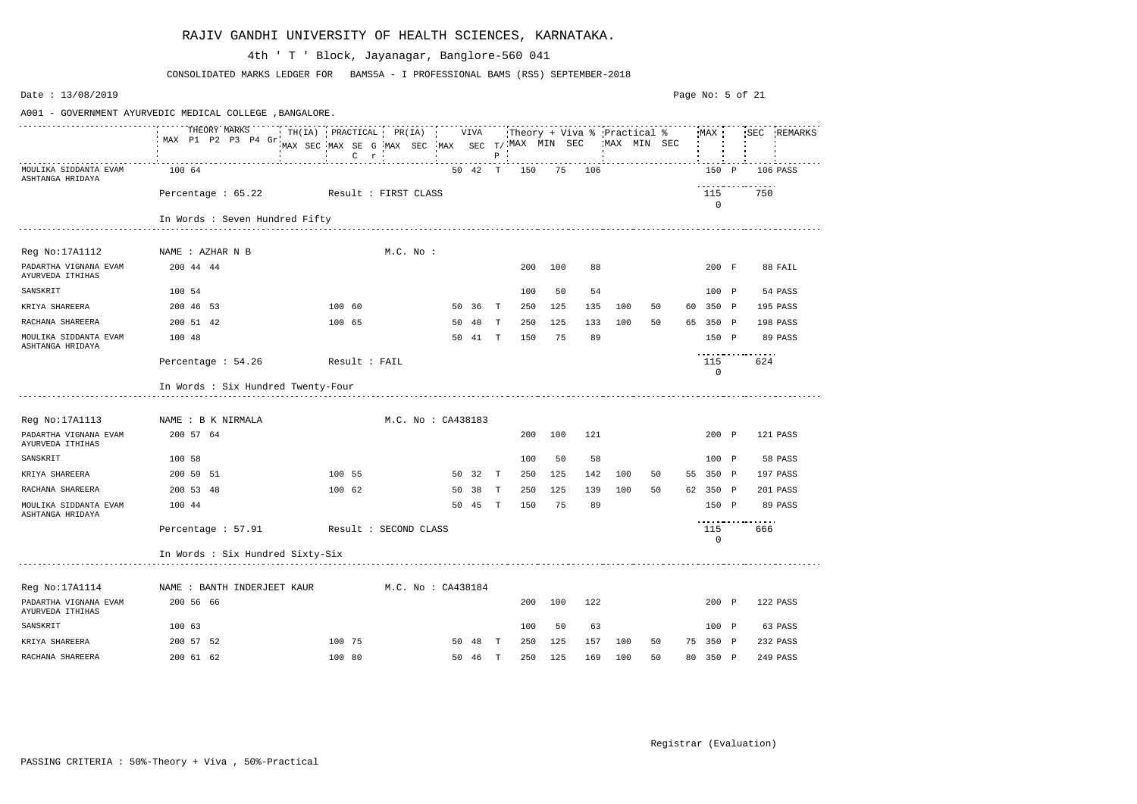| Date: 13/08/2019                          |                                                          |                                                                                              |                    |    |         |              |                             |         |        |    |              |    |    | Page No: 5 of 21   |          |             |
|-------------------------------------------|----------------------------------------------------------|----------------------------------------------------------------------------------------------|--------------------|----|---------|--------------|-----------------------------|---------|--------|----|--------------|----|----|--------------------|----------|-------------|
|                                           | A001 - GOVERNMENT AYURVEDIC MEDICAL COLLEGE , BANGALORE. |                                                                                              |                    |    |         |              |                             |         |        |    |              |    |    |                    |          |             |
|                                           | THEORY MARKS<br>MAX P1 P2 P3 P4 Gr.                      | TH(IA) PRACTICAL PR(IA) VIVA<br>MAX SEC MAX SE G MAX SEC MAX SEC $T/$ MAX MIN SEC<br>$C$ $r$ |                    |    |         | P            | Theory + Viva % Practical % |         |        |    | 'MAX MIN SEC |    |    | MAX                |          | SEC REMARKS |
| MOULIKA SIDDANTA EVAM<br>ASHTANGA HRIDAYA | 100 64                                                   |                                                                                              |                    |    | 50 42 T |              | 150                         |         | 75 106 |    |              |    |    | 150 P              |          | 106 PASS    |
|                                           | Percentage : 65.22 Result : FIRST CLASS                  |                                                                                              |                    |    |         |              |                             |         |        |    |              |    |    | 115<br>$\mathbf 0$ | .<br>750 |             |
|                                           | In Words : Seven Hundred Fifty                           |                                                                                              |                    |    |         |              |                             |         |        |    |              |    |    |                    |          |             |
|                                           |                                                          |                                                                                              |                    |    |         |              |                             |         |        |    |              |    |    |                    |          |             |
| Reg No:17A1112                            | NAME : AZHAR N B                                         |                                                                                              | $M.C.$ No :        |    |         |              |                             |         |        |    |              |    |    |                    |          |             |
| PADARTHA VIGNANA EVAM<br>AYURVEDA ITHIHAS | 200 44 44                                                |                                                                                              |                    |    |         |              | 200                         | 100     |        | 88 |              |    |    | 200 F              |          | 88 FAIL     |
| SANSKRIT                                  | 100 54                                                   |                                                                                              |                    |    |         |              | 100                         | 50      |        | 54 |              |    |    | 100 P              |          | 54 PASS     |
| KRIYA SHAREERA                            | 200 46 53                                                | 100 60                                                                                       |                    |    | 50 36   | $\mathbf{T}$ | 250                         | 125     | 135    |    | 100          | 50 |    | 60 350 P           |          | 195 PASS    |
| RACHANA SHAREERA                          | 200 51 42                                                | 100 65                                                                                       |                    | 50 | 40      | $\mathbf{T}$ | 250                         | 125     | 133    |    | 100          | 50 |    | 65 350 P           |          | 198 PASS    |
| MOULIKA SIDDANTA EVAM<br>ASHTANGA HRIDAYA | 100 48                                                   |                                                                                              |                    |    | 50 41   | $\mathbb{T}$ | 150                         | 75      |        | 89 |              |    |    | 150 P              |          | 89 PASS     |
|                                           | Percentage : 54.26                                       | Result : FAIL                                                                                |                    |    |         |              |                             |         |        |    |              |    |    | 115<br>0           | .<br>624 |             |
|                                           | In Words : Six Hundred Twenty-Four                       |                                                                                              |                    |    |         |              |                             |         |        |    |              |    |    |                    |          |             |
| Reg No:17A1113                            | NAME : B K NIRMALA                                       |                                                                                              | M.C. No: CA438183  |    |         |              |                             |         |        |    |              |    |    |                    |          |             |
| PADARTHA VIGNANA EVAM<br>AYURVEDA ITHIHAS | 200 57 64                                                |                                                                                              |                    |    |         |              | 200                         | 100     | 121    |    |              |    |    | 200 P              |          | 121 PASS    |
| SANSKRIT                                  | 100 58                                                   |                                                                                              |                    |    |         |              | 100                         | 50      |        | 58 |              |    |    | 100 P              |          | 58 PASS     |
| KRIYA SHAREERA                            | 200 59 51                                                | 100 55                                                                                       |                    |    | 50 32   | $\mathbf{T}$ | 250                         | 125     | 142    |    | 100          | 50 | 55 | 350 P              |          | 197 PASS    |
| RACHANA SHAREERA                          | 200 53 48                                                | 100 62                                                                                       |                    | 50 | 38      | T            | 250                         | 125     | 139    |    | 100          | 50 |    | 62 350 P           |          | 201 PASS    |
| MOULIKA SIDDANTA EVAM<br>ASHTANGA HRIDAYA | 100 44                                                   |                                                                                              |                    |    | 50 45   | $\mathbf{T}$ | 150                         | 75      |        | 89 |              |    |    | 150 P              | .        | 89 PASS     |
|                                           | Percentage : 57.91 Result : SECOND CLASS                 |                                                                                              |                    |    |         |              |                             |         |        |    |              |    |    | 115<br>$\mathbf 0$ | 666      |             |
|                                           | In Words : Six Hundred Sixty-Six                         |                                                                                              |                    |    |         |              |                             |         |        |    |              |    |    |                    |          |             |
| Reg No:17A1114                            | NAME : BANTH INDERJEET KAUR                              |                                                                                              | M.C. No : CA438184 |    |         |              |                             |         |        |    |              |    |    |                    |          |             |
| PADARTHA VIGNANA EVAM<br>AYURVEDA ITHIHAS | 200 56 66                                                |                                                                                              |                    |    |         |              | 200                         | 100     | 122    |    |              |    |    | 200 P              |          | 122 PASS    |
| SANSKRIT                                  | 100 63                                                   |                                                                                              |                    |    |         |              | 100                         | 50      |        | 63 |              |    |    | 100 P              |          | 63 PASS     |
| KRIYA SHAREERA                            | 200 57 52                                                | 100 75                                                                                       |                    |    | 50 48 T |              | 250                         | 125     | 157    |    | 100          | 50 |    | 75 350 P           |          | 232 PASS    |
| RACHANA SHAREERA                          | 200 61 62                                                | 100 80                                                                                       |                    |    | 50 46 T |              |                             | 250 125 | 169    |    | 100          | 50 |    | 80 350 P           |          | 249 PASS    |

CONSOLIDATED MARKS LEDGER FOR BAMS5A - I PROFESSIONAL BAMS (RS5) SEPTEMBER-2018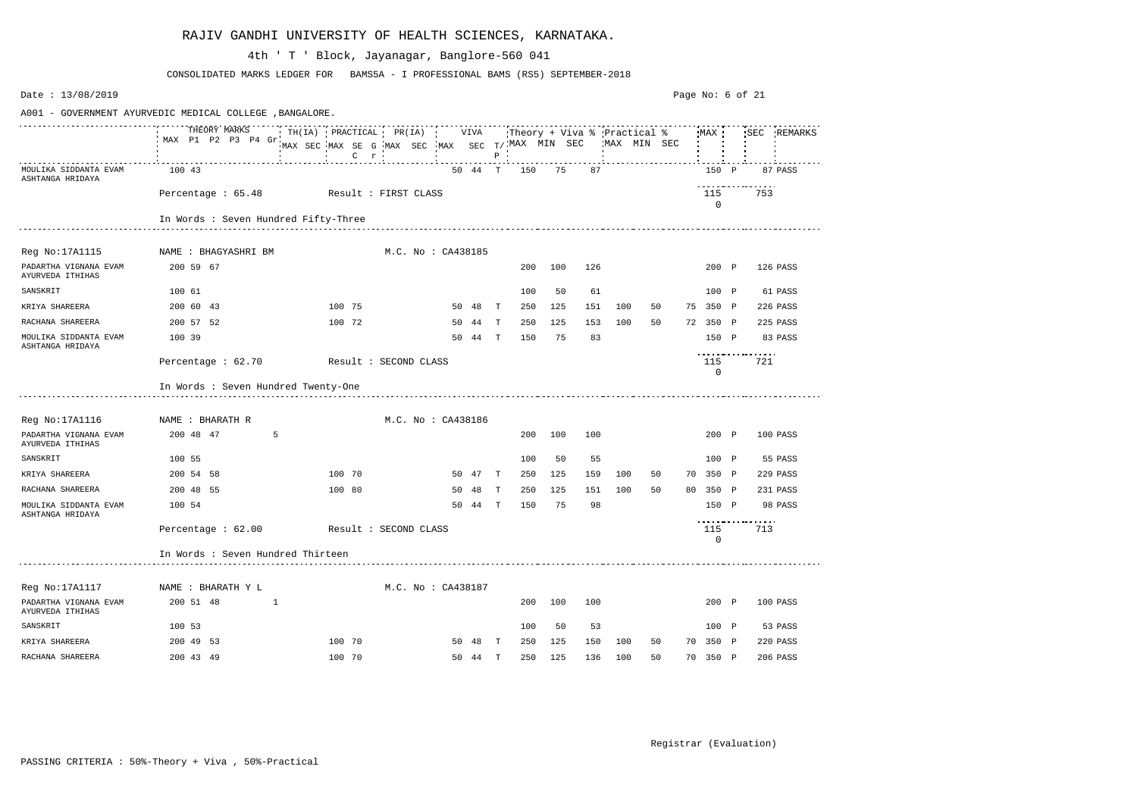| Date: 13/08/2019                          |                                                          |                                                                                           |                    |    |         |              |     |         |     |                                             |    |    |                    | Page No: 6 of 21 |          |             |
|-------------------------------------------|----------------------------------------------------------|-------------------------------------------------------------------------------------------|--------------------|----|---------|--------------|-----|---------|-----|---------------------------------------------|----|----|--------------------|------------------|----------|-------------|
|                                           | A001 - GOVERNMENT AYURVEDIC MEDICAL COLLEGE , BANGALORE. |                                                                                           |                    |    |         |              |     |         |     |                                             |    |    |                    |                  |          |             |
|                                           | THEORY MARKS<br>MAX P1 P2 P3 P4 Gr                       | TH(IA) PRACTICAL PR(IA) VIVA<br>MAX SEC MAX SE G MAX SEC MAX SEC T/MAX MIN SEC<br>$C$ $r$ |                    |    |         | $P$ $\vdots$ |     |         |     | Theory + Viva % Practical %<br>'MAX MIN SEC |    |    | MAX                |                  |          | SEC REMARKS |
| MOULIKA SIDDANTA EVAM<br>ASHTANGA HRIDAYA | 100 43                                                   |                                                                                           |                    |    | 50 44 T |              | 150 | 75      | 87  |                                             |    |    | 150 P              |                  |          | 87 PASS     |
|                                           | Percentage: 65.48 Result: FIRST CLASS                    |                                                                                           |                    |    |         |              |     |         |     |                                             |    |    | 115<br>$\mathbf 0$ |                  | 753      |             |
|                                           | In Words : Seven Hundred Fifty-Three                     |                                                                                           |                    |    |         |              |     |         |     |                                             |    |    |                    |                  |          |             |
| Reg No:17A1115                            | NAME : BHAGYASHRI BM                                     |                                                                                           | M.C. No : CA438185 |    |         |              |     |         |     |                                             |    |    |                    |                  |          |             |
| PADARTHA VIGNANA EVAM<br>AYURVEDA ITHIHAS | 200 59 67                                                |                                                                                           |                    |    |         |              | 200 | 100     | 126 |                                             |    |    | 200 P              |                  | 126 PASS |             |
| SANSKRIT                                  | 100 61                                                   |                                                                                           |                    |    |         |              | 100 | 50      | 61  |                                             |    |    | 100 P              |                  |          | 61 PASS     |
| KRIYA SHAREERA                            | 200 60 43                                                | 100 75                                                                                    |                    |    | 50 48   | $\mathbf{T}$ | 250 | 125     | 151 | 100                                         | 50 |    | 75 350 P           |                  | 226 PASS |             |
| RACHANA SHAREERA                          | 200 57 52                                                | 100 72                                                                                    |                    |    | 50 44   | $\mathbf{T}$ | 250 | 125     | 153 | 100                                         | 50 |    | 72 350 P           |                  | 225 PASS |             |
| MOULIKA SIDDANTA EVAM<br>ASHTANGA HRIDAYA | 100 39                                                   |                                                                                           |                    |    | 50 44 T |              | 150 | 75      | 83  |                                             |    |    | 150 P              |                  | 83 PASS  |             |
|                                           | Percentage : 62.70                                       | Result : SECOND CLASS                                                                     |                    |    |         |              |     |         |     |                                             |    |    | 115<br>0           |                  | 721      |             |
|                                           | In Words : Seven Hundred Twenty-One                      |                                                                                           |                    |    |         |              |     |         |     |                                             |    |    |                    |                  |          |             |
| Reg No:17A1116                            | NAME : BHARATH R                                         |                                                                                           | M.C. No : CA438186 |    |         |              |     |         |     |                                             |    |    |                    |                  |          |             |
| PADARTHA VIGNANA EVAM<br>AYURVEDA ITHIHAS | 200 48 47<br>5                                           |                                                                                           |                    |    |         |              | 200 | 100     | 100 |                                             |    |    | 200 P              |                  | 100 PASS |             |
| SANSKRIT                                  | 100 55                                                   |                                                                                           |                    |    |         |              | 100 | 50      | 55  |                                             |    |    | 100 P              |                  | 55 PASS  |             |
| KRIYA SHAREERA                            | 200 54 58                                                | 100 70                                                                                    |                    |    | 50 47   | $\mathbf{T}$ | 250 | 125     | 159 | 100                                         | 50 | 70 | 350 P              |                  | 229 PASS |             |
| RACHANA SHAREERA                          | 200 48 55                                                | 100 80                                                                                    |                    | 50 | 48      | T            | 250 | 125     | 151 | 100                                         | 50 | 80 | 350 P              |                  | 231 PASS |             |
| MOULIKA SIDDANTA EVAM<br>ASHTANGA HRIDAYA | 100 54                                                   |                                                                                           |                    | 50 | 44      | $\mathbf{T}$ | 150 | 75      | 98  |                                             |    |    | 150 P              | ---------------- | 98 PASS  |             |
|                                           | Percentage: 62.00 Result: SECOND CLASS                   |                                                                                           |                    |    |         |              |     |         |     |                                             |    |    | 115<br>0           |                  | 713      |             |
|                                           | In Words : Seven Hundred Thirteen                        |                                                                                           |                    |    |         |              |     |         |     |                                             |    |    |                    |                  |          |             |
| Reg No:17A1117                            | NAME : BHARATH Y L                                       |                                                                                           | M.C. No: CA438187  |    |         |              |     |         |     |                                             |    |    |                    |                  |          |             |
| PADARTHA VIGNANA EVAM<br>AYURVEDA ITHIHAS | 200 51 48                                                |                                                                                           |                    |    |         |              | 200 | 100     | 100 |                                             |    |    | 200 P              |                  | 100 PASS |             |
| SANSKRIT                                  | 100 53                                                   |                                                                                           |                    |    |         |              | 100 | 50      | 53  |                                             |    |    | 100 P              |                  | 53 PASS  |             |
| KRIYA SHAREERA                            | 200 49 53                                                | 100 70                                                                                    |                    |    | 50 48 T |              | 250 | 125     | 150 | 100                                         | 50 |    | 70 350 P           |                  | 220 PASS |             |
| RACHANA SHAREERA                          | 200 43 49                                                | 100 70                                                                                    |                    |    | 50 44 T |              |     | 250 125 |     | 136 100                                     | 50 |    | 70 350 P           |                  | 206 PASS |             |

CONSOLIDATED MARKS LEDGER FOR BAMS5A - I PROFESSIONAL BAMS (RS5) SEPTEMBER-2018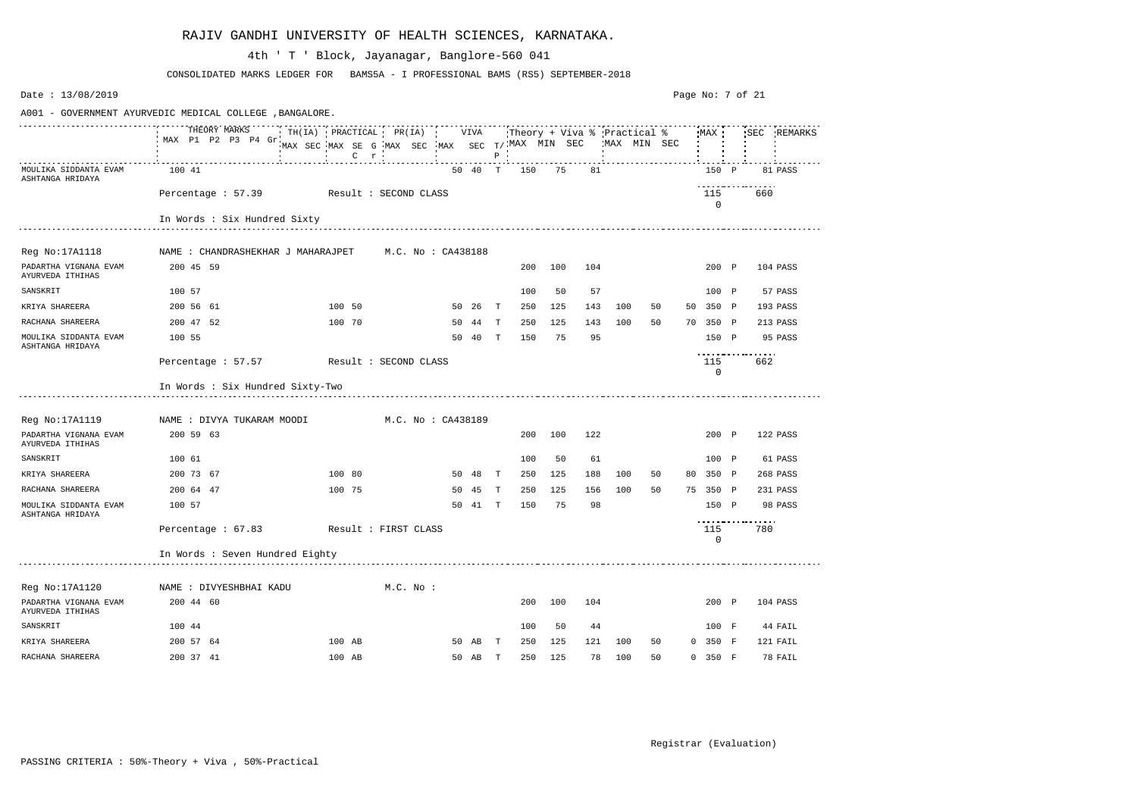| Date: 13/08/2019                                         |                                                                                                                                                                                                 |                                                               |                    |    |         |              |     |     |       |     |    | Page No: 7 of 21 |          |             |
|----------------------------------------------------------|-------------------------------------------------------------------------------------------------------------------------------------------------------------------------------------------------|---------------------------------------------------------------|--------------------|----|---------|--------------|-----|-----|-------|-----|----|------------------|----------|-------------|
| A001 - GOVERNMENT AYURVEDIC MEDICAL COLLEGE , BANGALORE. |                                                                                                                                                                                                 |                                                               |                    |    |         |              |     |     |       |     |    |                  |          |             |
|                                                          | THEORY MARKS TH(IA) PRACTICAL PR(IA) VIVA Theory + Viva % Practical % MAX SEC<br>MAX P1 P2 P3 P4 Grimm on the contract of the contract of the contract of the contract of the contract of the c | MAX SEC MAX SE G MAX SEC MAX SEC $T/$ MAX MIN SEC WAX MIN SEC |                    |    |         |              |     |     |       |     |    |                  |          | SEC REMARKS |
| MOULIKA SIDDANTA EVAM<br>ASHTANGA HRIDAYA                | 100 41                                                                                                                                                                                          |                                                               |                    |    | 50 40 T |              | 150 |     | 75 81 |     |    | 150 P            |          | 81 PASS     |
|                                                          | Percentage : 57.39 Result : SECOND CLASS                                                                                                                                                        |                                                               |                    |    |         |              |     |     |       |     |    | 115<br>$\Omega$  | .<br>660 |             |
|                                                          | In Words : Six Hundred Sixty                                                                                                                                                                    |                                                               |                    |    |         |              |     |     |       |     |    |                  |          |             |
| Reg No:17A1118                                           | NAME : CHANDRASHEKHAR J MAHARAJPET       M.C. No : CA438188                                                                                                                                     |                                                               |                    |    |         |              |     |     |       |     |    |                  |          |             |
| PADARTHA VIGNANA EVAM<br>AYURVEDA ITHIHAS                | 200 45 59                                                                                                                                                                                       |                                                               |                    |    |         |              | 200 | 100 | 104   |     |    | 200 P            |          | 104 PASS    |
| SANSKRIT                                                 | 100 57                                                                                                                                                                                          |                                                               |                    |    |         |              | 100 | 50  | 57    |     |    | 100 P            |          | 57 PASS     |
| KRIYA SHAREERA                                           | 200 56 61                                                                                                                                                                                       | 100 50                                                        |                    |    | 50 26   | $\mathbf{T}$ | 250 | 125 | 143   | 100 | 50 | 50 350 P         |          | 193 PASS    |
| RACHANA SHAREERA                                         | 200 47 52                                                                                                                                                                                       | 100 70                                                        |                    |    | 50 44   | T            | 250 | 125 | 143   | 100 | 50 | 70 350 P         |          | 213 PASS    |
| MOULIKA SIDDANTA EVAM<br>ASHTANGA HRIDAYA                | 100 55                                                                                                                                                                                          |                                                               |                    |    | 50 40   | T            | 150 | 75  | 95    |     |    | 150 P            | .        | 95 PASS     |
|                                                          | Percentage: 57.57 Result: SECOND CLASS                                                                                                                                                          |                                                               |                    |    |         |              |     |     |       |     |    | 115<br>0         | 662      |             |
|                                                          | In Words : Six Hundred Sixty-Two                                                                                                                                                                |                                                               |                    |    |         |              |     |     |       |     |    |                  |          |             |
| Reg No:17A1119                                           | NAME : DIVYA TUKARAM MOODI                                                                                                                                                                      |                                                               | M.C. No : CA438189 |    |         |              |     |     |       |     |    |                  |          |             |
| PADARTHA VIGNANA EVAM<br>AYURVEDA ITHIHAS                | 200 59 63                                                                                                                                                                                       |                                                               |                    |    |         |              | 200 | 100 | 122   |     |    | 200 P            |          | 122 PASS    |
| SANSKRIT                                                 | 100 61                                                                                                                                                                                          |                                                               |                    |    |         |              | 100 | 50  | 61    |     |    | 100 P            |          | 61 PASS     |
| KRIYA SHAREERA                                           | 200 73 67                                                                                                                                                                                       | 100 80                                                        |                    |    | 50 48   | $\mathbf{T}$ | 250 | 125 | 188   | 100 | 50 | 80 350 P         |          | 268 PASS    |
| RACHANA SHAREERA                                         | 200 64 47                                                                                                                                                                                       | 100 75                                                        |                    | 50 | 45      | T            | 250 | 125 | 156   | 100 | 50 | 75 350 P         |          | 231 PASS    |
| MOULIKA SIDDANTA EVAM<br>ASHTANGA HRIDAYA                | 100 57                                                                                                                                                                                          |                                                               |                    |    | 50 41   | $\mathbf{T}$ | 150 | 75  | 98    |     |    | 150 P<br>.       |          | 98 PASS     |
|                                                          | Percentage: 67.83 Result: FIRST CLASS                                                                                                                                                           |                                                               |                    |    |         |              |     |     |       |     |    | 115<br>0         | 780      |             |
|                                                          | In Words : Seven Hundred Eighty                                                                                                                                                                 |                                                               |                    |    |         |              |     |     |       |     |    |                  |          |             |
| Reg No:17A1120                                           | NAME : DIVYESHBHAI KADU                                                                                                                                                                         |                                                               | $M.C.$ No :        |    |         |              |     |     |       |     |    |                  |          |             |
| PADARTHA VIGNANA EVAM<br>AYURVEDA ITHIHAS                | 200 44 60                                                                                                                                                                                       |                                                               |                    |    |         |              | 200 | 100 | 104   |     |    | 200 P            |          | 104 PASS    |
| SANSKRIT                                                 | 100 44                                                                                                                                                                                          |                                                               |                    |    |         |              | 100 | 50  | 44    |     |    | 100 F            |          | 44 FAIL     |
| KRIYA SHAREERA                                           | 200 57 64                                                                                                                                                                                       | 100 AB                                                        |                    |    | 50 AB T |              | 250 | 125 | 121   | 100 | 50 | $0$ 350 F        |          | 121 FAIL    |
| RACHANA SHAREERA                                         | 200 37 41                                                                                                                                                                                       | 100 AB                                                        |                    |    | 50 AB T |              | 250 | 125 | 78    | 100 | 50 | 0 350 F          |          | 78 FAIL     |

CONSOLIDATED MARKS LEDGER FOR BAMS5A - I PROFESSIONAL BAMS (RS5) SEPTEMBER-2018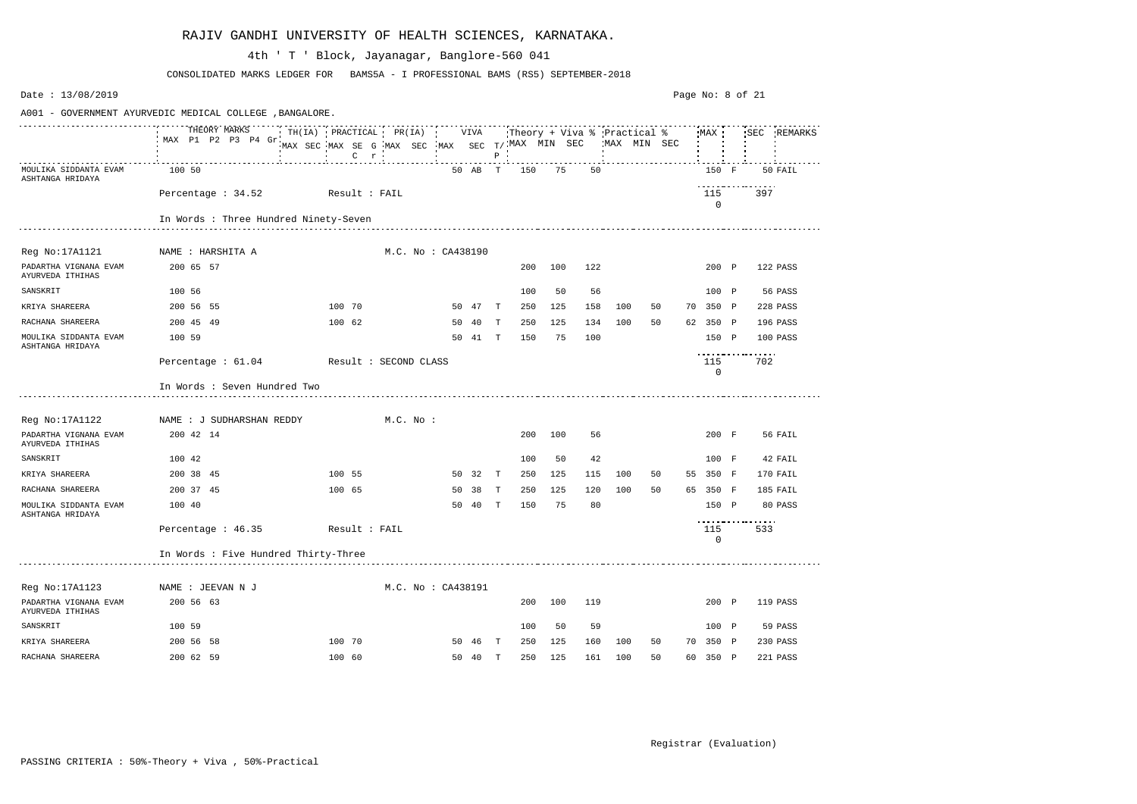| Date: 13/08/2019                          |                                                          |                                                                                           |                    |    |         |              |     |     |     |     |                                            | Page No: 8 of 21 |                                    |                 |             |
|-------------------------------------------|----------------------------------------------------------|-------------------------------------------------------------------------------------------|--------------------|----|---------|--------------|-----|-----|-----|-----|--------------------------------------------|------------------|------------------------------------|-----------------|-------------|
|                                           | A001 - GOVERNMENT AYURVEDIC MEDICAL COLLEGE , BANGALORE. |                                                                                           |                    |    |         |              |     |     |     |     |                                            |                  |                                    |                 |             |
|                                           | THEORY MARKS<br>MAX P1 P2 P3 P4 Gr.                      | TH(IA) PRACTICAL PR(IA) VIVA<br>MAX SEC MAX SE G MAX SEC MAX SEC T/MAX MIN SEC<br>$C$ $r$ |                    |    |         | $P$ $\vdots$ |     |     |     |     | Theory + Viva % Practical %<br>MAX MIN SEC |                  | MAX                                |                 | SEC REMARKS |
| MOULIKA SIDDANTA EVAM<br>ASHTANGA HRIDAYA | 100 50                                                   |                                                                                           |                    |    | 50 AB T |              | 150 | 75  | 50  |     |                                            |                  | 150 F                              |                 | 50 FAIL     |
|                                           | Percentage : 34.52 Result : FAIL                         |                                                                                           |                    |    |         |              |     |     |     |     |                                            |                  | 115<br>0                           | 397             |             |
|                                           | In Words : Three Hundred Ninety-Seven                    |                                                                                           |                    |    |         |              |     |     |     |     |                                            |                  |                                    |                 |             |
| Reg No:17A1121                            | NAME : HARSHITA A                                        |                                                                                           | M.C. No : CA438190 |    |         |              |     |     |     |     |                                            |                  |                                    |                 |             |
| PADARTHA VIGNANA EVAM<br>AYURVEDA ITHIHAS | 200 65 57                                                |                                                                                           |                    |    |         |              | 200 | 100 | 122 |     |                                            |                  | 200 P                              |                 | 122 PASS    |
| SANSKRIT                                  | 100 56                                                   |                                                                                           |                    |    |         |              | 100 | 50  | 56  |     |                                            |                  | 100 P                              |                 | 56 PASS     |
| KRIYA SHAREERA                            | 200 56 55                                                | 100 70                                                                                    |                    |    | 50 47 T |              | 250 | 125 | 158 | 100 | 50                                         |                  | 70 350 P                           |                 | 228 PASS    |
| RACHANA SHAREERA                          | 200 45 49                                                | 100 62                                                                                    |                    |    | 50 40   | $\mathbf{T}$ | 250 | 125 | 134 | 100 | 50                                         |                  | 62 350 P                           |                 | 196 PASS    |
| MOULIKA SIDDANTA EVAM<br>ASHTANGA HRIDAYA | 100 59                                                   |                                                                                           |                    |    | 50 41   | $\mathbf{T}$ | 150 | 75  | 100 |     |                                            |                  | 150 P                              |                 | 100 PASS    |
|                                           | Percentage : 61.04                                       | Result : SECOND CLASS                                                                     |                    |    |         |              |     |     |     |     |                                            |                  | ------------<br>115<br>$\mathbf 0$ | $\cdots$<br>702 |             |
|                                           | In Words : Seven Hundred Two                             |                                                                                           |                    |    |         |              |     |     |     |     |                                            |                  |                                    |                 |             |
| Reg No:17A1122                            | NAME : J SUDHARSHAN REDDY                                |                                                                                           | M.C. No :          |    |         |              |     |     |     |     |                                            |                  |                                    |                 |             |
| PADARTHA VIGNANA EVAM<br>AYURVEDA ITHIHAS | 200 42 14                                                |                                                                                           |                    |    |         |              | 200 | 100 | 56  |     |                                            |                  | 200 F                              |                 | 56 FAIL     |
| SANSKRIT                                  | 100 42                                                   |                                                                                           |                    |    |         |              | 100 | 50  | 42  |     |                                            |                  | 100 F                              |                 | 42 FAIL     |
| KRIYA SHAREERA                            | 200 38 45                                                | 100 55                                                                                    |                    |    | 50 32   | $\mathbf{T}$ | 250 | 125 | 115 | 100 | 50                                         | 55               | 350 F                              |                 | 170 FAIL    |
| RACHANA SHAREERA                          | 200 37 45                                                | 100 65                                                                                    |                    | 50 | 38      | T            | 250 | 125 | 120 | 100 | 50                                         |                  | 65 350 F                           |                 | 185 FAIL    |
| MOULIKA SIDDANTA EVAM<br>ASHTANGA HRIDAYA | 100 40                                                   |                                                                                           |                    | 50 | 40      | $\mathbb{T}$ | 150 | 75  | 80  |     |                                            |                  | 150 P                              | .               | 80 PASS     |
|                                           | Percentage: 46.35 Result: FAIL                           |                                                                                           |                    |    |         |              |     |     |     |     |                                            |                  | 115<br>0                           | 533             |             |
|                                           | In Words : Five Hundred Thirty-Three                     |                                                                                           |                    |    |         |              |     |     |     |     |                                            |                  |                                    |                 |             |
| Reg No:17A1123                            | NAME : JEEVAN N J                                        |                                                                                           | M.C. No : CA438191 |    |         |              |     |     |     |     |                                            |                  |                                    |                 |             |
| PADARTHA VIGNANA EVAM<br>AYURVEDA ITHIHAS | 200 56 63                                                |                                                                                           |                    |    |         |              | 200 | 100 | 119 |     |                                            |                  | 200 P                              |                 | 119 PASS    |
| SANSKRIT                                  | 100 59                                                   |                                                                                           |                    |    |         |              | 100 | 50  | 59  |     |                                            |                  | 100 P                              |                 | 59 PASS     |
| KRIYA SHAREERA                            | 200 56 58                                                | 100 70                                                                                    |                    |    | 50 46 T |              | 250 | 125 | 160 | 100 | 50                                         |                  | 70 350 P                           |                 | 230 PASS    |
| RACHANA SHAREERA                          | 200 62 59                                                | 100 60                                                                                    |                    |    | 50 40 T |              | 250 | 125 | 161 | 100 | 50                                         |                  | 60 350 P                           |                 | 221 PASS    |

CONSOLIDATED MARKS LEDGER FOR BAMS5A - I PROFESSIONAL BAMS (RS5) SEPTEMBER-2018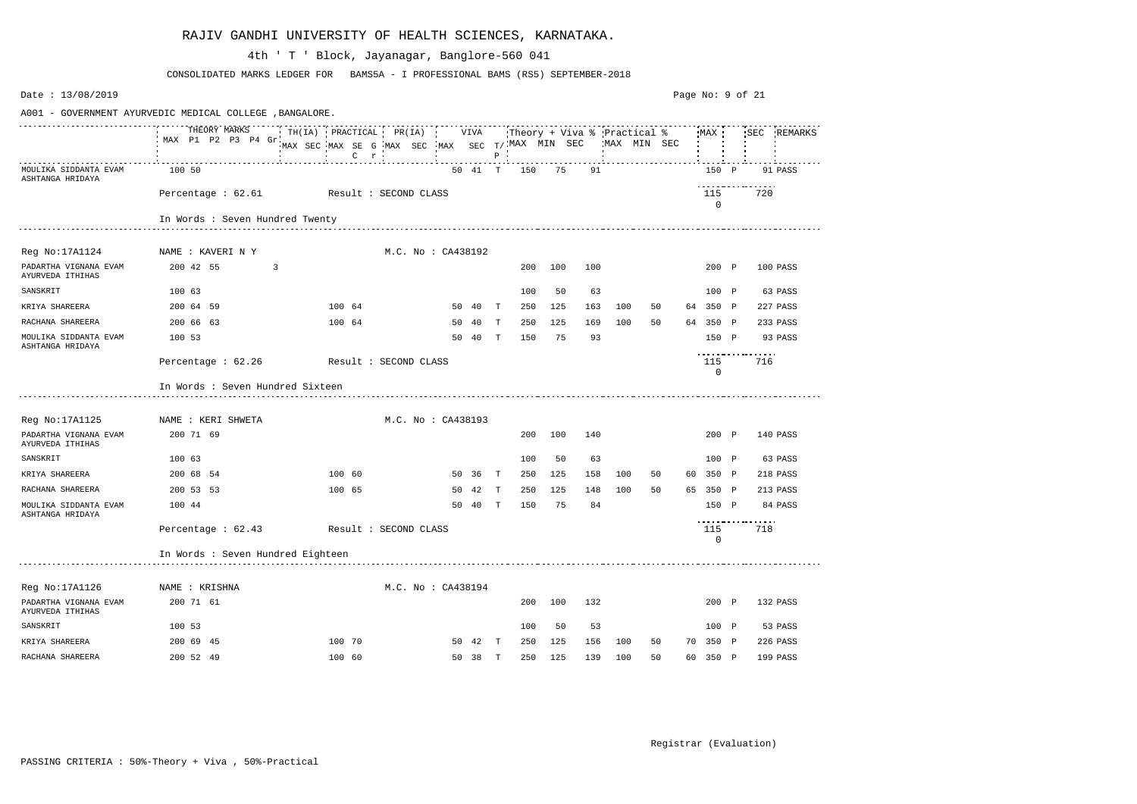| Date: 13/08/2019                                         |                                        |                                                                |                                                           |  |                    |         |              |     |     |     |     |              |    | Page No: 9 of 21 |     |             |
|----------------------------------------------------------|----------------------------------------|----------------------------------------------------------------|-----------------------------------------------------------|--|--------------------|---------|--------------|-----|-----|-----|-----|--------------|----|------------------|-----|-------------|
| A001 - GOVERNMENT AYURVEDIC MEDICAL COLLEGE , BANGALORE. |                                        |                                                                |                                                           |  |                    |         |              |     |     |     |     |              |    |                  |     |             |
|                                                          | THEORY MARKS<br>MAX P1 P2 P3 P4 Gr     | TH(IA) PRACTICAL PR(IA) VIVA Theory + Viva % Practical % MAX ' | MAX SEC MAX SE G MAX SEC MAX SEC T/MAX MIN SEC<br>$C$ $r$ |  |                    |         | $P$ $\vdots$ |     |     |     |     | 'MAX MIN SEC |    |                  |     | SEC REMARKS |
| MOULIKA SIDDANTA EVAM<br>ASHTANGA HRIDAYA                | 100 50                                 |                                                                |                                                           |  |                    | 50 41 T |              | 150 | 75  | 91  |     |              |    | 150 P            |     | 91 PASS     |
|                                                          | Percentage: 62.61 Result: SECOND CLASS |                                                                |                                                           |  |                    |         |              |     |     |     |     |              |    | 115<br>0         | 720 |             |
|                                                          | In Words : Seven Hundred Twenty        |                                                                |                                                           |  |                    |         |              |     |     |     |     |              |    |                  |     |             |
| Reg No:17A1124                                           | NAME : KAVERI N Y                      |                                                                |                                                           |  | M.C. No: CA438192  |         |              |     |     |     |     |              |    |                  |     |             |
| PADARTHA VIGNANA EVAM<br>AYURVEDA ITHIHAS                | 200 42 55                              | 3                                                              |                                                           |  |                    |         |              | 200 | 100 | 100 |     |              |    | 200 P            |     | 100 PASS    |
| SANSKRIT                                                 | 100 63                                 |                                                                |                                                           |  |                    |         |              | 100 | 50  | 63  |     |              |    | 100 P            |     | 63 PASS     |
| KRIYA SHAREERA                                           | 200 64 59                              |                                                                | 100 64                                                    |  |                    | 50 40   | $\mathbf T$  | 250 | 125 | 163 | 100 | 50           |    | 64 350 P         |     | 227 PASS    |
| RACHANA SHAREERA                                         | 200 66 63                              |                                                                | 100 64                                                    |  | 50                 | 40      | T            | 250 | 125 | 169 | 100 | 50           |    | 64 350 P         |     | 233 PASS    |
| MOULIKA SIDDANTA EVAM<br>ASHTANGA HRIDAYA                | 100 53                                 |                                                                |                                                           |  | 50                 | - 40    | T            | 150 | 75  | 93  |     |              |    | 150 P            | .   | 93 PASS     |
|                                                          | Percentage : 62.26                     | Result : SECOND CLASS                                          |                                                           |  |                    |         |              |     |     |     |     |              |    | 115<br>0         | 716 |             |
|                                                          | In Words : Seven Hundred Sixteen       |                                                                |                                                           |  |                    |         |              |     |     |     |     |              |    |                  |     |             |
| Reg No:17A1125                                           | NAME : KERI SHWETA                     |                                                                |                                                           |  | M.C. No : CA438193 |         |              |     |     |     |     |              |    |                  |     |             |
| PADARTHA VIGNANA EVAM<br>AYURVEDA ITHIHAS                | 200 71 69                              |                                                                |                                                           |  |                    |         |              | 200 | 100 | 140 |     |              |    | 200 P            |     | 140 PASS    |
| SANSKRIT                                                 | 100 63                                 |                                                                |                                                           |  |                    |         |              | 100 | 50  | 63  |     |              |    | 100 P            |     | 63 PASS     |
| KRIYA SHAREERA                                           | 200 68 54                              |                                                                | 100 60                                                    |  |                    | 50 36   | T            | 250 | 125 | 158 | 100 | 50           | 60 | 350 P            |     | 218 PASS    |
| RACHANA SHAREERA                                         | 200 53 53                              |                                                                | 100 65                                                    |  | 50                 | 42      | Т            | 250 | 125 | 148 | 100 | 50           |    | 65 350 P         |     | 213 PASS    |
| MOULIKA SIDDANTA EVAM<br>ASHTANGA HRIDAYA                | 100 44                                 |                                                                |                                                           |  | 50                 | 40      | T            | 150 | 75  | 84  |     |              |    | 150 P            | .   | 84 PASS     |
|                                                          | Percentage: 62.43 Result: SECOND CLASS |                                                                |                                                           |  |                    |         |              |     |     |     |     |              |    | 115<br>0         | 718 |             |
|                                                          | In Words : Seven Hundred Eighteen      |                                                                |                                                           |  |                    |         |              |     |     |     |     |              |    |                  |     |             |
| Reg No:17A1126                                           | NAME : KRISHNA                         |                                                                |                                                           |  | M.C. No : CA438194 |         |              |     |     |     |     |              |    |                  |     |             |
| PADARTHA VIGNANA EVAM<br>AYURVEDA ITHIHAS                | 200 71 61                              |                                                                |                                                           |  |                    |         |              | 200 | 100 | 132 |     |              |    | 200 P            |     | 132 PASS    |
| SANSKRIT                                                 | 100 53                                 |                                                                |                                                           |  |                    |         |              | 100 | 50  | 53  |     |              |    | 100 P            |     | 53 PASS     |
| KRIYA SHAREERA                                           | 200 69 45                              |                                                                | 100 70                                                    |  |                    | 50 42 T |              | 250 | 125 | 156 | 100 | 50           |    | 70 350 P         |     | 226 PASS    |
| RACHANA SHAREERA                                         | 200 52 49                              |                                                                | 100 60                                                    |  |                    | 50 38 T |              | 250 | 125 | 139 | 100 | 50           |    | 60 350 P         |     | 199 PASS    |

CONSOLIDATED MARKS LEDGER FOR BAMS5A - I PROFESSIONAL BAMS (RS5) SEPTEMBER-2018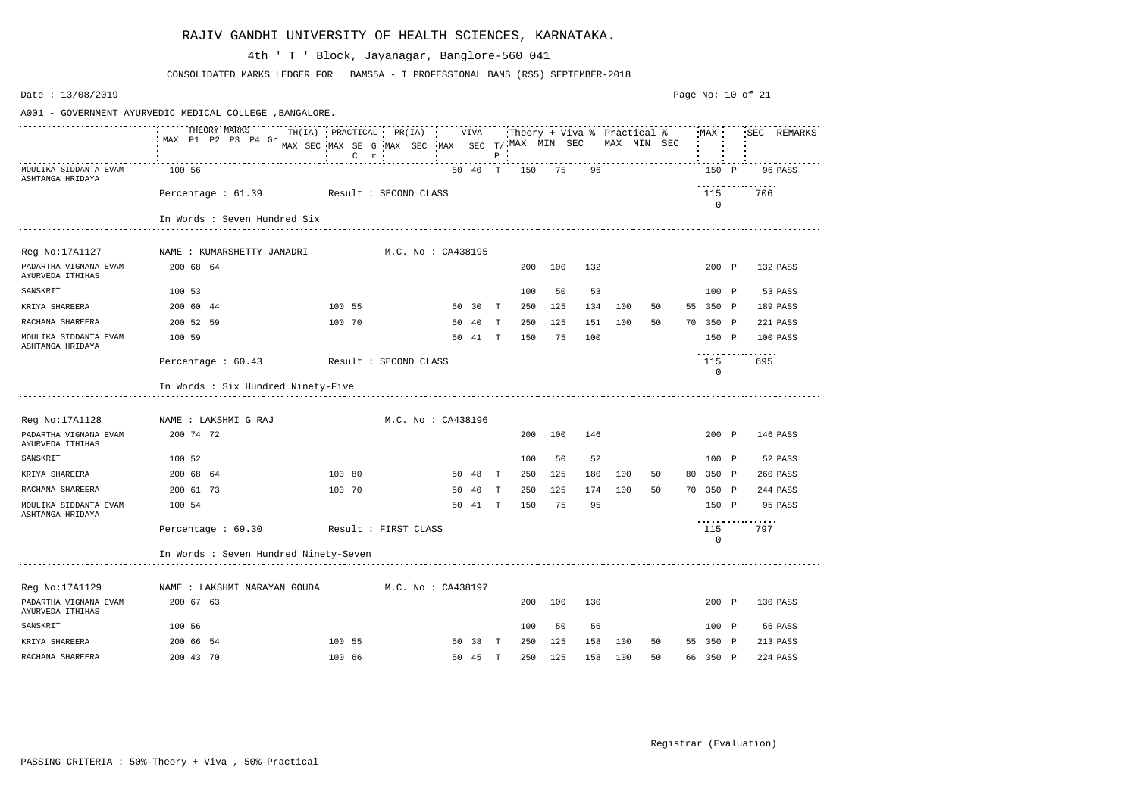| Date: 13/08/2019                          |                                                          |                                                                                           |                    |    |         |              |     |     |     |     |                                             |    |                    | Page No: 10 of 21 |          |             |
|-------------------------------------------|----------------------------------------------------------|-------------------------------------------------------------------------------------------|--------------------|----|---------|--------------|-----|-----|-----|-----|---------------------------------------------|----|--------------------|-------------------|----------|-------------|
|                                           | A001 - GOVERNMENT AYURVEDIC MEDICAL COLLEGE , BANGALORE. |                                                                                           |                    |    |         |              |     |     |     |     |                                             |    |                    |                   |          |             |
|                                           | THEORY MARKS<br>MAX P1 P2 P3 P4 Gr                       | TH(IA) PRACTICAL PR(IA) VIVA<br>MAX SEC MAX SE G MAX SEC MAX SEC T/MAX MIN SEC<br>$C$ $r$ |                    |    |         | $P$ $\vdots$ |     |     |     |     | Theory + Viva % Practical %<br>'MAX MIN SEC |    | MAX                |                   |          | SEC REMARKS |
| MOULIKA SIDDANTA EVAM<br>ASHTANGA HRIDAYA | 100 56                                                   |                                                                                           |                    |    | 50 40 T |              | 150 | 75  | 96  |     |                                             |    | 150 P              |                   |          | 96 PASS     |
|                                           | Percentage: 61.39 Result: SECOND CLASS                   |                                                                                           |                    |    |         |              |     |     |     |     |                                             |    | 115<br>$\mathbf 0$ |                   | 706      |             |
|                                           | In Words : Seven Hundred Six                             |                                                                                           |                    |    |         |              |     |     |     |     |                                             |    |                    |                   |          |             |
| Reg No:17A1127                            | NAME : KUMARSHETTY JANADRI                               |                                                                                           | M.C. No : CA438195 |    |         |              |     |     |     |     |                                             |    |                    |                   |          |             |
| PADARTHA VIGNANA EVAM<br>AYURVEDA ITHIHAS | 200 68 64                                                |                                                                                           |                    |    |         |              | 200 | 100 | 132 |     |                                             |    | 200 P              |                   | 132 PASS |             |
| SANSKRIT                                  | 100 53                                                   |                                                                                           |                    |    |         |              | 100 | 50  | 53  |     |                                             |    | 100 P              |                   |          | 53 PASS     |
| KRIYA SHAREERA                            | 200 60 44                                                | 100 55                                                                                    |                    |    | 50 30   | $\mathbf{T}$ | 250 | 125 | 134 | 100 | 50                                          |    | 55 350 P           |                   | 189 PASS |             |
| RACHANA SHAREERA                          | 200 52 59                                                | 100 70                                                                                    |                    |    | 50 40   | $\mathbf{T}$ | 250 | 125 | 151 | 100 | 50                                          |    | 70 350 P           |                   | 221 PASS |             |
| MOULIKA SIDDANTA EVAM<br>ASHTANGA HRIDAYA | 100 59                                                   |                                                                                           |                    |    | 50 41 T |              | 150 | 75  | 100 |     |                                             |    | 150 P              |                   | 100 PASS |             |
|                                           | Percentage : 60.43                                       | Result : SECOND CLASS                                                                     |                    |    |         |              |     |     |     |     |                                             |    | 115<br>0           | .                 | 695      |             |
|                                           | In Words : Six Hundred Ninety-Five                       |                                                                                           |                    |    |         |              |     |     |     |     |                                             |    |                    |                   |          |             |
| Reg No:17A1128                            | NAME : LAKSHMI G RAJ                                     |                                                                                           | M.C. No : CA438196 |    |         |              |     |     |     |     |                                             |    |                    |                   |          |             |
| PADARTHA VIGNANA EVAM<br>AYURVEDA ITHIHAS | 200 74 72                                                |                                                                                           |                    |    |         |              | 200 | 100 | 146 |     |                                             |    | 200 P              |                   | 146 PASS |             |
| SANSKRIT                                  | 100 52                                                   |                                                                                           |                    |    |         |              | 100 | 50  | 52  |     |                                             |    | 100 P              |                   |          | 52 PASS     |
| KRIYA SHAREERA                            | 200 68 64                                                | 100 80                                                                                    |                    |    | 50 48   | $\mathbf{T}$ | 250 | 125 | 180 | 100 | 50                                          | 80 | 350 P              |                   | 260 PASS |             |
| RACHANA SHAREERA                          | 200 61 73                                                | 100 70                                                                                    |                    | 50 | 40      | T            | 250 | 125 | 174 | 100 | 50                                          |    | 70 350 P           |                   | 244 PASS |             |
| MOULIKA SIDDANTA EVAM<br>ASHTANGA HRIDAYA | 100 54                                                   |                                                                                           |                    | 50 | 41      | $\mathbf{T}$ | 150 | 75  | 95  |     |                                             |    | 150 P              | ----------------- |          | 95 PASS     |
|                                           | Percentage : 69.30                                       | Result : FIRST CLASS                                                                      |                    |    |         |              |     |     |     |     |                                             |    | 115<br>0           |                   | 797      |             |
|                                           | In Words : Seven Hundred Ninety-Seven                    |                                                                                           |                    |    |         |              |     |     |     |     |                                             |    |                    |                   |          |             |
| Reg No:17A1129                            | NAME : LAKSHMI NARAYAN GOUDA                             |                                                                                           | M.C. No : CA438197 |    |         |              |     |     |     |     |                                             |    |                    |                   |          |             |
| PADARTHA VIGNANA EVAM<br>AYURVEDA ITHIHAS | 200 67 63                                                |                                                                                           |                    |    |         |              | 200 | 100 | 130 |     |                                             |    | 200 P              |                   | 130 PASS |             |
| SANSKRIT                                  | 100 56                                                   |                                                                                           |                    |    |         |              | 100 | 50  | 56  |     |                                             |    | 100 P              |                   |          | 56 PASS     |
| KRIYA SHAREERA                            | 200 66 54                                                | 100 55                                                                                    |                    |    | 50 38 T |              | 250 | 125 | 158 | 100 | 50                                          |    | 55 350 P           |                   | 213 PASS |             |
| RACHANA SHAREERA                          | 200 43 70                                                | 100 66                                                                                    |                    |    | 50 45 T |              | 250 | 125 | 158 | 100 | 50                                          |    | 66 350 P           |                   | 224 PASS |             |

CONSOLIDATED MARKS LEDGER FOR BAMS5A - I PROFESSIONAL BAMS (RS5) SEPTEMBER-2018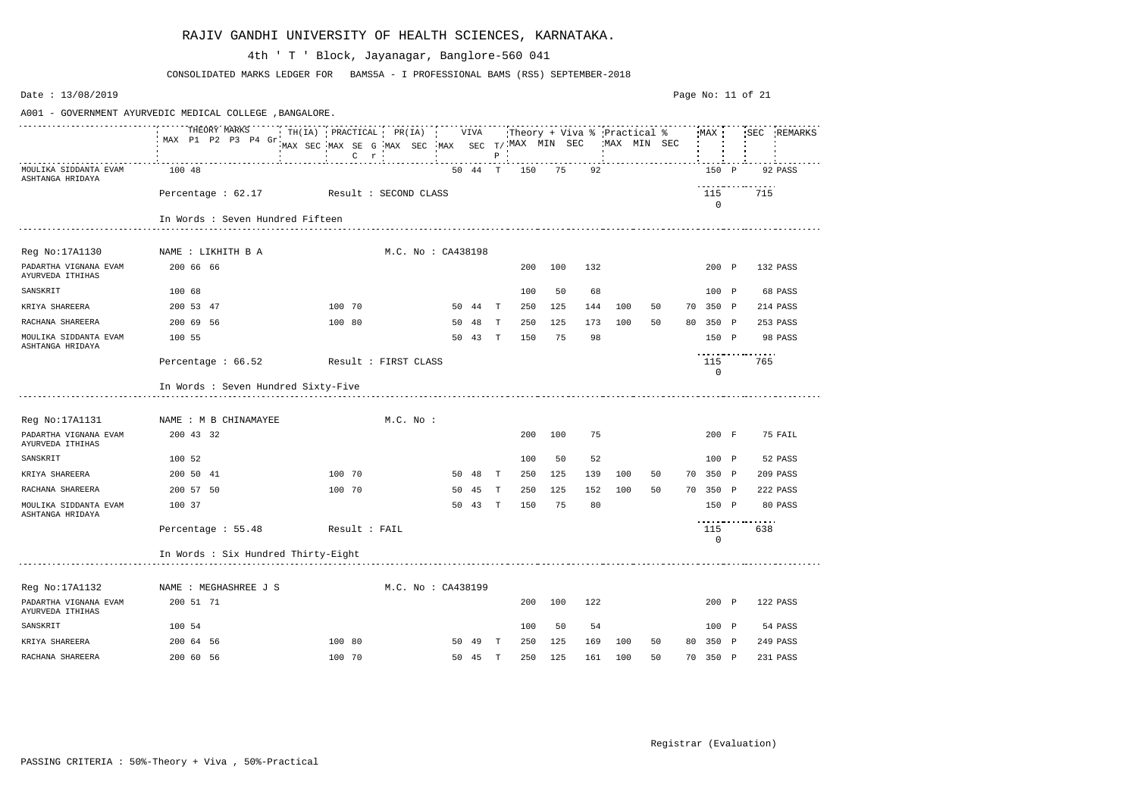| Date: 13/08/2019                                         |                                        |                                                                                           |           |                    |         |              |     |     |     |     |                                            |                    | Page No: 11 of 21 |             |
|----------------------------------------------------------|----------------------------------------|-------------------------------------------------------------------------------------------|-----------|--------------------|---------|--------------|-----|-----|-----|-----|--------------------------------------------|--------------------|-------------------|-------------|
| A001 - GOVERNMENT AYURVEDIC MEDICAL COLLEGE , BANGALORE. |                                        |                                                                                           |           |                    |         |              |     |     |     |     |                                            |                    |                   |             |
|                                                          | THEORY MARKS<br>MAX P1 P2 P3 P4 Gr.    | TH(IA) PRACTICAL PR(IA) VIVA<br>MAX SEC MAX SE G MAX SEC MAX SEC T/MAX MIN SEC<br>$C$ $r$ |           |                    |         | $P$ $\vdots$ |     |     |     |     | Theory + Viva % Practical %<br>MAX MIN SEC | MAX                |                   | SEC REMARKS |
| MOULIKA SIDDANTA EVAM<br>ASHTANGA HRIDAYA                | 100 48                                 |                                                                                           |           |                    | 50 44 T |              | 150 | 75  | 92  |     |                                            | 150 P              |                   | 92 PASS     |
|                                                          | Percentage: 62.17 Result: SECOND CLASS |                                                                                           |           |                    |         |              |     |     |     |     |                                            | 115<br>0           | 715               |             |
|                                                          | In Words : Seven Hundred Fifteen       |                                                                                           |           |                    |         |              |     |     |     |     |                                            |                    |                   |             |
| Reg No:17A1130                                           | NAME : LIKHITH B A                     |                                                                                           |           | M.C. No : CA438198 |         |              |     |     |     |     |                                            |                    |                   |             |
| PADARTHA VIGNANA EVAM<br>AYURVEDA ITHIHAS                | 200 66 66                              |                                                                                           |           |                    |         |              | 200 | 100 | 132 |     |                                            | 200 P              |                   | 132 PASS    |
| SANSKRIT                                                 | 100 68                                 |                                                                                           |           |                    |         |              | 100 | 50  | 68  |     |                                            | 100 P              |                   | 68 PASS     |
| KRIYA SHAREERA                                           | 200 53 47                              | 100 70                                                                                    |           |                    | 50 44   | T            | 250 | 125 | 144 | 100 | 50                                         | 70 350 P           |                   | 214 PASS    |
| RACHANA SHAREERA                                         | 200 69 56                              | 100 80                                                                                    |           | 50                 | -48     | T            | 250 | 125 | 173 | 100 | 50                                         | 80 350 P           |                   | 253 PASS    |
| MOULIKA SIDDANTA EVAM<br>ASHTANGA HRIDAYA                | 100 55                                 |                                                                                           |           | 50                 | 43      | T            | 150 | 75  | 98  |     |                                            | 150 P              | .                 | 98 PASS     |
|                                                          | Percentage : 66.52                     | Result : FIRST CLASS                                                                      |           |                    |         |              |     |     |     |     |                                            | 115<br>$\mathbf 0$ | 765               |             |
|                                                          | In Words : Seven Hundred Sixty-Five    |                                                                                           |           |                    |         |              |     |     |     |     |                                            |                    |                   |             |
| Reg No:17A1131                                           | NAME : M B CHINAMAYEE                  |                                                                                           | M.C. No : |                    |         |              |     |     |     |     |                                            |                    |                   |             |
| PADARTHA VIGNANA EVAM<br>AYURVEDA ITHIHAS                | 200 43 32                              |                                                                                           |           |                    |         |              | 200 | 100 | 75  |     |                                            | 200 F              |                   | 75 FAIL     |
| SANSKRIT                                                 | 100 52                                 |                                                                                           |           |                    |         |              | 100 | 50  | 52  |     |                                            | 100 P              |                   | 52 PASS     |
| KRIYA SHAREERA                                           | 200 50 41                              | 100 70                                                                                    |           | 50                 | 48      | $\mathbb{T}$ | 250 | 125 | 139 | 100 | 50                                         | 70 350 P           |                   | 209 PASS    |
| RACHANA SHAREERA                                         | 200 57 50                              | 100 70                                                                                    |           | 50                 | 45      | T            | 250 | 125 | 152 | 100 | 50                                         | 70 350 P           |                   | 222 PASS    |
| MOULIKA SIDDANTA EVAM<br>ASHTANGA HRIDAYA                | 100 37                                 |                                                                                           |           | 50                 | 43      | $\mathbb{T}$ | 150 | 75  | 80  |     |                                            | 150 P              | .                 | 80 PASS     |
|                                                          | Percentage: 55.48 Result: FAIL         |                                                                                           |           |                    |         |              |     |     |     |     |                                            | 115<br>0           | 638               |             |
|                                                          | In Words : Six Hundred Thirty-Eight    |                                                                                           |           |                    |         |              |     |     |     |     |                                            |                    |                   |             |
| Reg No:17A1132                                           | NAME : MEGHASHREE J S                  |                                                                                           |           | M.C. No : CA438199 |         |              |     |     |     |     |                                            |                    |                   |             |
| PADARTHA VIGNANA EVAM<br>AYURVEDA ITHIHAS                | 200 51 71                              |                                                                                           |           |                    |         |              | 200 | 100 | 122 |     |                                            | 200 P              |                   | 122 PASS    |
| SANSKRIT                                                 | 100 54                                 |                                                                                           |           |                    |         |              | 100 | 50  | 54  |     |                                            | $100$ P            |                   | 54 PASS     |
| KRIYA SHAREERA                                           | 200 64 56                              | 100 80                                                                                    |           |                    | 50 49 T |              | 250 | 125 | 169 | 100 | 50                                         | 80 350 P           |                   | 249 PASS    |
| RACHANA SHAREERA                                         | 200 60 56                              | 100 70                                                                                    |           |                    | 50 45 T |              | 250 | 125 | 161 | 100 | 50                                         | 70 350 P           |                   | 231 PASS    |

CONSOLIDATED MARKS LEDGER FOR BAMS5A - I PROFESSIONAL BAMS (RS5) SEPTEMBER-2018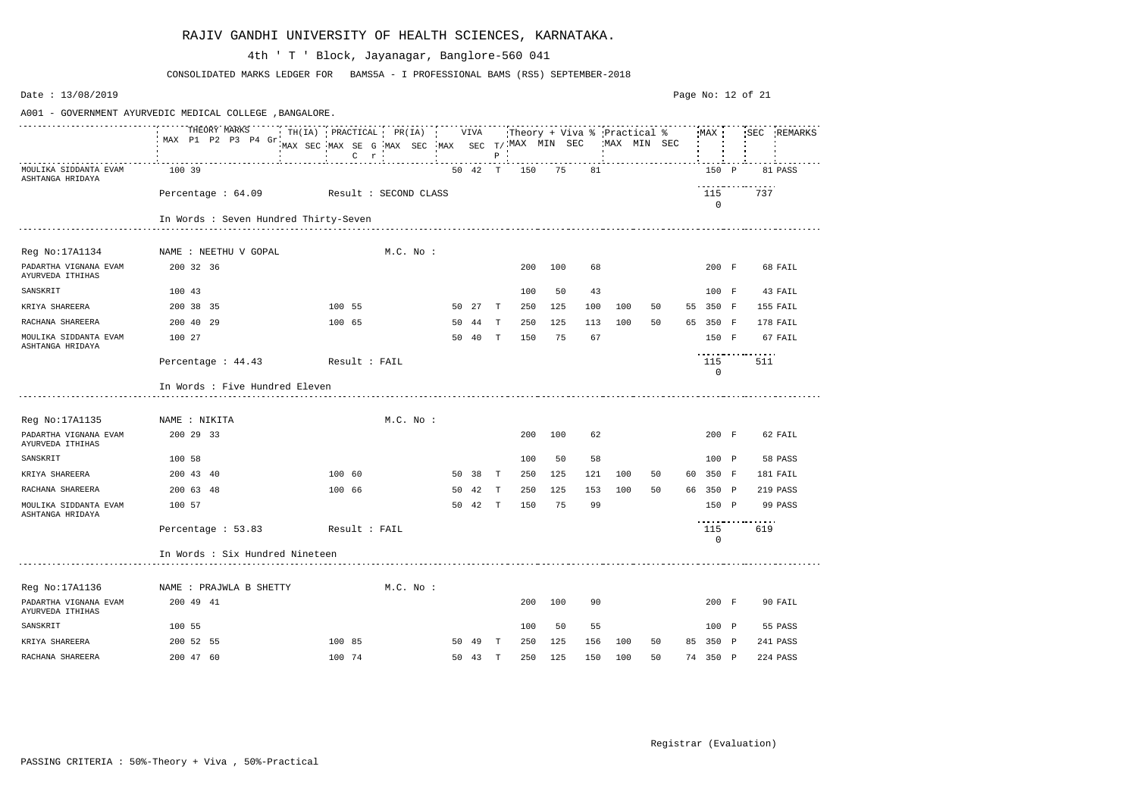| Date: 13/08/2019                                         |                                       |                                                                                           |           |    |         |              |     |         |                             |     |             |    |                     | Page No: 12 of 21 |             |
|----------------------------------------------------------|---------------------------------------|-------------------------------------------------------------------------------------------|-----------|----|---------|--------------|-----|---------|-----------------------------|-----|-------------|----|---------------------|-------------------|-------------|
| A001 - GOVERNMENT AYURVEDIC MEDICAL COLLEGE , BANGALORE. |                                       |                                                                                           |           |    |         |              |     |         |                             |     |             |    |                     |                   |             |
|                                                          | THEORY MARKS<br>MAX P1 P2 P3 P4 Gr    | TH(IA) PRACTICAL PR(IA) VIVA<br>MAX SEC MAX SE G MAX SEC MAX SEC T/MAX MIN SEC<br>$C$ $r$ |           |    |         | $P$ $\vdots$ |     |         | Theory + Viva % Practical % |     | MAX MIN SEC |    | MAX                 |                   | SEC REMARKS |
| MOULIKA SIDDANTA EVAM<br>ASHTANGA HRIDAYA                | 100 39                                |                                                                                           |           |    | 50 42 T |              | 150 | 75      | 81                          |     |             |    | 150 P               |                   | 81 PASS     |
|                                                          | Percentage : 64.09                    | Result : SECOND CLASS                                                                     |           |    |         |              |     |         |                             |     |             |    | 115<br>$\mathbf 0$  | 737               |             |
|                                                          | In Words : Seven Hundred Thirty-Seven |                                                                                           |           |    |         |              |     |         |                             |     |             |    |                     |                   |             |
|                                                          |                                       |                                                                                           |           |    |         |              |     |         |                             |     |             |    |                     |                   |             |
| Reg No:17A1134                                           | NAME : NEETHU V GOPAL                 |                                                                                           | M.C. No : |    |         |              |     |         |                             |     |             |    |                     |                   |             |
| PADARTHA VIGNANA EVAM<br>AYURVEDA ITHIHAS                | 200 32 36                             |                                                                                           |           |    |         |              | 200 | 100     | 68                          |     |             |    | 200 F               |                   | 68 FAIL     |
| SANSKRIT                                                 | 100 43                                |                                                                                           |           |    |         |              | 100 | 50      | 43                          |     |             |    | 100 F               |                   | 43 FAIL     |
| KRIYA SHAREERA                                           | 200 38 35                             | 100 55                                                                                    |           |    | 50 27 T |              | 250 | 125     | 100                         | 100 | 50          | 55 | 350 F               |                   | 155 FAIL    |
| RACHANA SHAREERA                                         | 200 40 29                             | 100 65                                                                                    |           | 50 | 44      | T            | 250 | 125     | 113                         | 100 | 50          | 65 | 350 F               |                   | 178 FAIL    |
| MOULIKA SIDDANTA EVAM<br>ASHTANGA HRIDAYA                | 100 27                                |                                                                                           |           | 50 | 40      | T            | 150 | 75      | 67                          |     |             |    | 150 F               |                   | 67 FAIL     |
|                                                          | Percentage : 44.43                    | Result : FAIL                                                                             |           |    |         |              |     |         |                             |     |             |    | 115<br>$\mathsf{O}$ | 511               |             |
|                                                          | In Words : Five Hundred Eleven        |                                                                                           |           |    |         |              |     |         |                             |     |             |    |                     |                   |             |
| Reg No:17A1135                                           | NAME : NIKITA                         |                                                                                           | M.C. No : |    |         |              |     |         |                             |     |             |    |                     |                   |             |
| PADARTHA VIGNANA EVAM<br>AYURVEDA ITHIHAS                | 200 29 33                             |                                                                                           |           |    |         |              | 200 | 100     | 62                          |     |             |    | 200 F               |                   | 62 FAIL     |
| SANSKRIT                                                 | 100 58                                |                                                                                           |           |    |         |              | 100 | 50      | 58                          |     |             |    | 100 P               |                   | 58 PASS     |
| KRIYA SHAREERA                                           | 200 43 40                             | 100 60                                                                                    |           | 50 | 38      | $\mathbf{T}$ | 250 | 125     | 121                         | 100 | 50          | 60 | 350 F               |                   | 181 FAIL    |
| RACHANA SHAREERA                                         | 200 63 48                             | 100 66                                                                                    |           | 50 | 42      | T            | 250 | 125     | 153                         | 100 | 50          |    | 66 350 P            |                   | 219 PASS    |
| MOULIKA SIDDANTA EVAM<br>ASHTANGA HRIDAYA                | 100 57                                |                                                                                           |           | 50 | 42      | T            | 150 | 75      | 99                          |     |             |    | 150 P               | .                 | 99 PASS     |
|                                                          | Percentage: 53.83 Result: FAIL        |                                                                                           |           |    |         |              |     |         |                             |     |             |    | 115<br>$\mathbf 0$  | 619               |             |
|                                                          | In Words : Six Hundred Nineteen       |                                                                                           |           |    |         |              |     |         |                             |     |             |    |                     |                   |             |
| Reg No:17A1136                                           | NAME : PRAJWLA B SHETTY               |                                                                                           | M.C. No : |    |         |              |     |         |                             |     |             |    |                     |                   |             |
| PADARTHA VIGNANA EVAM<br>AYURVEDA ITHIHAS                | 200 49 41                             |                                                                                           |           |    |         |              |     | 200 100 | 90                          |     |             |    | 200 F               |                   | 90 FAIL     |
| SANSKRIT                                                 | 100 55                                |                                                                                           |           |    |         |              | 100 | 50      | 55                          |     |             |    | 100 P               |                   | 55 PASS     |
| KRIYA SHAREERA                                           | 200 52 55                             | 100 85                                                                                    |           |    | 50 49 T |              | 250 | 125     | 156                         | 100 | 50          |    | 85 350 P            |                   | 241 PASS    |
| RACHANA SHAREERA                                         | 200 47 60                             | 100 74                                                                                    |           |    | 50 43 T |              |     | 250 125 | 150                         | 100 | 50          |    | 74 350 P            |                   | 224 PASS    |

CONSOLIDATED MARKS LEDGER FOR BAMS5A - I PROFESSIONAL BAMS (RS5) SEPTEMBER-2018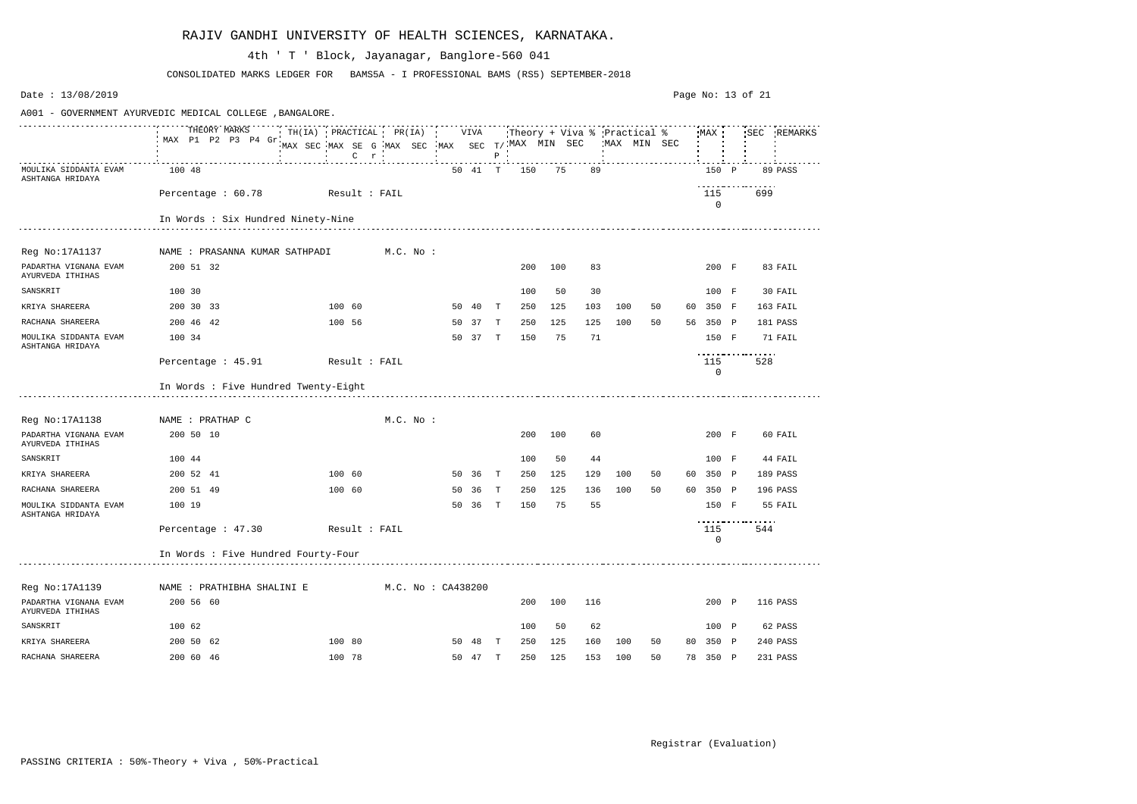| Date: 13/08/2019                                         |                                      |                                                                           |         |           |             |                    |         |              |     |     |     |     |             |                             |    |                    | Page No: 13 of 21 |             |
|----------------------------------------------------------|--------------------------------------|---------------------------------------------------------------------------|---------|-----------|-------------|--------------------|---------|--------------|-----|-----|-----|-----|-------------|-----------------------------|----|--------------------|-------------------|-------------|
| A001 - GOVERNMENT AYURVEDIC MEDICAL COLLEGE , BANGALORE. |                                      |                                                                           |         |           |             |                    |         |              |     |     |     |     |             |                             |    |                    |                   |             |
|                                                          | THEORY MARKS<br>MAX P1 P2 P3 P4 Gr   | TH(IA) PRACTICAL PR(IA)<br>MAX SEC MAX SE G MAX SEC MAX SEC T/MAX MIN SEC | $C$ $r$ |           |             |                    | VIVA    | $P$ $\vdots$ |     |     |     |     | MAX MIN SEC | Theory + Viva % Practical % |    | MAX                |                   | SEC REMARKS |
| MOULIKA SIDDANTA EVAM<br>ASHTANGA HRIDAYA                | 100 48                               |                                                                           |         |           |             |                    | 50 41 T |              | 150 | 75  |     | 89  |             |                             |    | 150 P              |                   | 89 PASS     |
|                                                          | Percentage : 60.78                   | Result : FAIL                                                             |         |           |             |                    |         |              |     |     |     |     |             |                             |    | 115<br>$\mathbf 0$ | .<br>699          |             |
|                                                          | In Words : Six Hundred Ninety-Nine   |                                                                           |         |           |             |                    |         |              |     |     |     |     |             |                             |    |                    |                   |             |
| Reg No:17A1137                                           | NAME : PRASANNA KUMAR SATHPADI       |                                                                           |         | M.C. No : |             |                    |         |              |     |     |     |     |             |                             |    |                    |                   |             |
| PADARTHA VIGNANA EVAM<br>AYURVEDA ITHIHAS                | 200 51 32                            |                                                                           |         |           |             |                    |         |              | 200 | 100 |     | 83  |             |                             |    | 200 F              |                   | 83 FAIL     |
| SANSKRIT                                                 | 100 30                               |                                                                           |         |           |             |                    |         |              | 100 | 50  |     | 30  |             |                             |    | 100 F              |                   | 30 FAIL     |
| KRIYA SHAREERA                                           | 200 30 33                            |                                                                           | 100 60  |           |             |                    | 50 40   | $\mathbf{T}$ | 250 | 125 | 103 | 100 |             | 50                          |    | 60 350 F           |                   | 163 FAIL    |
| RACHANA SHAREERA                                         | 200 46 42                            |                                                                           | 100 56  |           |             |                    | 50 37 T |              | 250 | 125 | 125 | 100 |             | 50                          |    | 56 350 P           |                   | 181 PASS    |
| MOULIKA SIDDANTA EVAM<br>ASHTANGA HRIDAYA                | 100 34                               |                                                                           |         |           |             |                    | 50 37   | T            | 150 | 75  |     | 71  |             |                             |    | 150 F              |                   | 71 FAIL     |
|                                                          | Percentage : 45.91                   | Result : FAIL                                                             |         |           |             |                    |         |              |     |     |     |     |             |                             |    | 115<br>0           | .<br>528          |             |
|                                                          | In Words : Five Hundred Twenty-Eight |                                                                           |         |           |             |                    |         |              |     |     |     |     |             |                             |    |                    |                   |             |
| Reg No:17A1138                                           | NAME : PRATHAP C                     |                                                                           |         |           | $M.C.$ No : |                    |         |              |     |     |     |     |             |                             |    |                    |                   |             |
| PADARTHA VIGNANA EVAM<br>AYURVEDA ITHIHAS                | 200 50 10                            |                                                                           |         |           |             |                    |         |              | 200 | 100 |     | 60  |             |                             |    | 200 F              |                   | 60 FAIL     |
| SANSKRIT                                                 | 100 44                               |                                                                           |         |           |             |                    |         |              | 100 | 50  |     | 44  |             |                             |    | 100 F              |                   | 44 FAIL     |
| KRIYA SHAREERA                                           | 200 52 41                            |                                                                           | 100 60  |           |             | 50                 | - 36    | T            | 250 | 125 | 129 | 100 |             | 50                          | 60 | 350 P              |                   | 189 PASS    |
| RACHANA SHAREERA                                         | 200 51 49                            |                                                                           | 100 60  |           |             | 50                 | 36      | T            | 250 | 125 | 136 | 100 |             | 50                          |    | 60 350 P           |                   | 196 PASS    |
| MOULIKA SIDDANTA EVAM<br>ASHTANGA HRIDAYA                | 100 19                               |                                                                           |         |           |             | 50                 | 36      | $\mathbf{T}$ | 150 | 75  |     | 55  |             |                             |    | 150 F              | .                 | 55 FAIL     |
|                                                          | Percentage : 47.30                   | Result : FAIL                                                             |         |           |             |                    |         |              |     |     |     |     |             |                             |    | 115<br>0           | 544               |             |
|                                                          | In Words : Five Hundred Fourty-Four  |                                                                           |         |           |             |                    |         |              |     |     |     |     |             |                             |    |                    |                   |             |
| Reg No:17A1139                                           | NAME : PRATHIBHA SHALINI E           |                                                                           |         |           |             | M.C. No : CA438200 |         |              |     |     |     |     |             |                             |    |                    |                   |             |
| PADARTHA VIGNANA EVAM<br>AYURVEDA ITHIHAS                | 200 56 60                            |                                                                           |         |           |             |                    |         |              | 200 | 100 | 116 |     |             |                             |    | 200 P              |                   | 116 PASS    |
| SANSKRIT                                                 | 100 62                               |                                                                           |         |           |             |                    |         |              | 100 | 50  |     | 62  |             |                             |    | 100 P              |                   | 62 PASS     |
| KRIYA SHAREERA                                           | 200 50 62                            |                                                                           | 100 80  |           |             |                    | 50 48   | $\mathbf{T}$ | 250 | 125 | 160 | 100 |             | 50                          |    | 80 350 P           |                   | 240 PASS    |
| RACHANA SHAREERA                                         | 200 60 46                            |                                                                           | 100 78  |           |             |                    | 50 47 T |              | 250 | 125 | 153 | 100 |             | 50                          |    | 78 350 P           |                   | 231 PASS    |

CONSOLIDATED MARKS LEDGER FOR BAMS5A - I PROFESSIONAL BAMS (RS5) SEPTEMBER-2018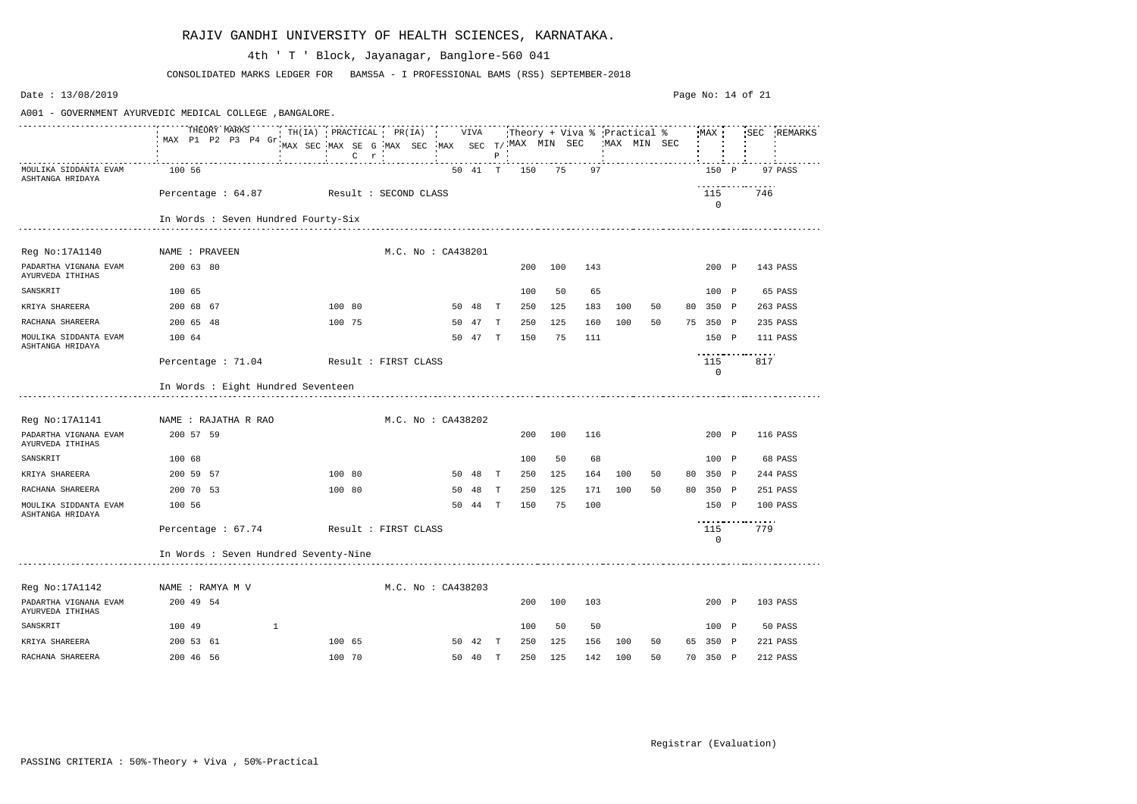| Date: 13/08/2019                                                                                                        |                                         |  |                                                                                   |  |                    |         |              |     |     |     |     |             |    |                    | Page No: 14 of 21 |     |             |
|-------------------------------------------------------------------------------------------------------------------------|-----------------------------------------|--|-----------------------------------------------------------------------------------|--|--------------------|---------|--------------|-----|-----|-----|-----|-------------|----|--------------------|-------------------|-----|-------------|
| A001 - GOVERNMENT AYURVEDIC MEDICAL COLLEGE , BANGALORE.<br>TH(IA) PRACTICAL PR(IA) VIVA<br>Theory + Viva % Practical % |                                         |  |                                                                                   |  |                    |         |              |     |     |     |     |             |    |                    |                   |     |             |
|                                                                                                                         | THEORY MARKS<br>MAX P1 P2 P3 P4 Gr      |  | MAX SEC MAX SE G MAX SEC MAX SEC $T/$ MAX MIN SEC<br>$C$ $r$<br><b>Contractor</b> |  |                    |         | $P$ $\cdot$  |     |     |     |     | MAX MIN SEC |    | MAX                |                   |     | SEC REMARKS |
| MOULIKA SIDDANTA EVAM<br>ASHTANGA HRIDAYA                                                                               | 100 56                                  |  |                                                                                   |  |                    | 50 41 T |              | 150 | 75  | 97  |     |             |    | 150 P              |                   |     | 97 PASS     |
|                                                                                                                         | Percentage: 64.87 Result: SECOND CLASS  |  |                                                                                   |  |                    |         |              |     |     |     |     |             |    | 115<br>$\mathbf 0$ |                   | 746 |             |
|                                                                                                                         | In Words : Seven Hundred Fourty-Six     |  |                                                                                   |  |                    |         |              |     |     |     |     |             |    |                    |                   |     |             |
| Reg No:17A1140                                                                                                          | NAME : PRAVEEN                          |  |                                                                                   |  | M.C. No : CA438201 |         |              |     |     |     |     |             |    |                    |                   |     |             |
| PADARTHA VIGNANA EVAM<br>AYURVEDA ITHIHAS                                                                               | 200 63 80                               |  |                                                                                   |  |                    |         |              | 200 | 100 | 143 |     |             |    | 200 P              |                   |     | 143 PASS    |
| SANSKRIT                                                                                                                | 100 65                                  |  |                                                                                   |  |                    |         |              | 100 | 50  | 65  |     |             |    | 100 P              |                   |     | 65 PASS     |
| KRIYA SHAREERA                                                                                                          | 200 68 67                               |  | 100 80                                                                            |  |                    | 50 48   | $\mathbf{T}$ | 250 | 125 | 183 | 100 | 50          | 80 | 350 P              |                   |     | 263 PASS    |
| RACHANA SHAREERA                                                                                                        | 200 65 48                               |  | 100 75                                                                            |  | 50                 | 47      | T            | 250 | 125 | 160 | 100 | 50          |    | 75 350 P           |                   |     | 235 PASS    |
| MOULIKA SIDDANTA EVAM<br>ASHTANGA HRIDAYA                                                                               | 100 64                                  |  |                                                                                   |  | 50                 | 47      | T            | 150 | 75  | 111 |     |             |    | 150 P              |                   |     | 111 PASS    |
|                                                                                                                         | Percentage : 71.04                      |  | Result : FIRST CLASS                                                              |  |                    |         |              |     |     |     |     |             |    | 115<br>$\mathbf 0$ |                   | 817 |             |
|                                                                                                                         | In Words : Eight Hundred Seventeen      |  |                                                                                   |  |                    |         |              |     |     |     |     |             |    |                    |                   |     |             |
| Reg No:17A1141                                                                                                          | NAME : RAJATHA R RAO                    |  |                                                                                   |  | M.C. No: CA438202  |         |              |     |     |     |     |             |    |                    |                   |     |             |
| PADARTHA VIGNANA EVAM<br>AYURVEDA ITHIHAS                                                                               | 200 57 59                               |  |                                                                                   |  |                    |         |              | 200 | 100 | 116 |     |             |    | 200 P              |                   |     | 116 PASS    |
| SANSKRIT                                                                                                                | 100 68                                  |  |                                                                                   |  |                    |         |              | 100 | 50  | 68  |     |             |    | 100 P              |                   |     | 68 PASS     |
| KRIYA SHAREERA                                                                                                          | 200 59 57                               |  | 100 80                                                                            |  | 50                 | 48      | Т            | 250 | 125 | 164 | 100 | 50          | 80 | 350 P              |                   |     | 244 PASS    |
| RACHANA SHAREERA                                                                                                        | 200 70 53                               |  | 100 80                                                                            |  | 50                 | 48      | $\mathbb{T}$ | 250 | 125 | 171 | 100 | 50          |    | 80 350 P           |                   |     | 251 PASS    |
| MOULIKA SIDDANTA EVAM<br>ASHTANGA HRIDAYA                                                                               | 100 56                                  |  |                                                                                   |  | 50                 | 44      | T            | 150 | 75  | 100 |     |             |    | 150 P              | ----------------- |     | 100 PASS    |
|                                                                                                                         | Percentage : 67.74 Result : FIRST CLASS |  |                                                                                   |  |                    |         |              |     |     |     |     |             |    | 115<br>$\mathbf 0$ |                   | 779 |             |
|                                                                                                                         | In Words : Seven Hundred Seventy-Nine   |  |                                                                                   |  |                    |         |              |     |     |     |     |             |    |                    |                   |     |             |
| Reg No:17A1142                                                                                                          | NAME : RAMYA M V                        |  |                                                                                   |  | M.C. No: CA438203  |         |              |     |     |     |     |             |    |                    |                   |     |             |
| PADARTHA VIGNANA EVAM<br>AYURVEDA ITHIHAS                                                                               | 200 49 54                               |  |                                                                                   |  |                    |         |              | 200 | 100 | 103 |     |             |    | 200 P              |                   |     | 103 PASS    |
| SANSKRIT                                                                                                                | 100 49<br>$\mathbf{1}$                  |  |                                                                                   |  |                    |         |              | 100 | 50  | 50  |     |             |    | 100 P              |                   |     | 50 PASS     |
| KRIYA SHAREERA                                                                                                          | 200 53 61                               |  | 100 65                                                                            |  |                    | 50 42 T |              | 250 | 125 | 156 | 100 | 50          |    | 65 350 P           |                   |     | 221 PASS    |
| RACHANA SHAREERA                                                                                                        | 200 46 56                               |  | 100 70                                                                            |  |                    | 50 40 T |              | 250 | 125 | 142 | 100 | 50          |    | 70 350 P           |                   |     | 212 PASS    |

CONSOLIDATED MARKS LEDGER FOR BAMS5A - I PROFESSIONAL BAMS (RS5) SEPTEMBER-2018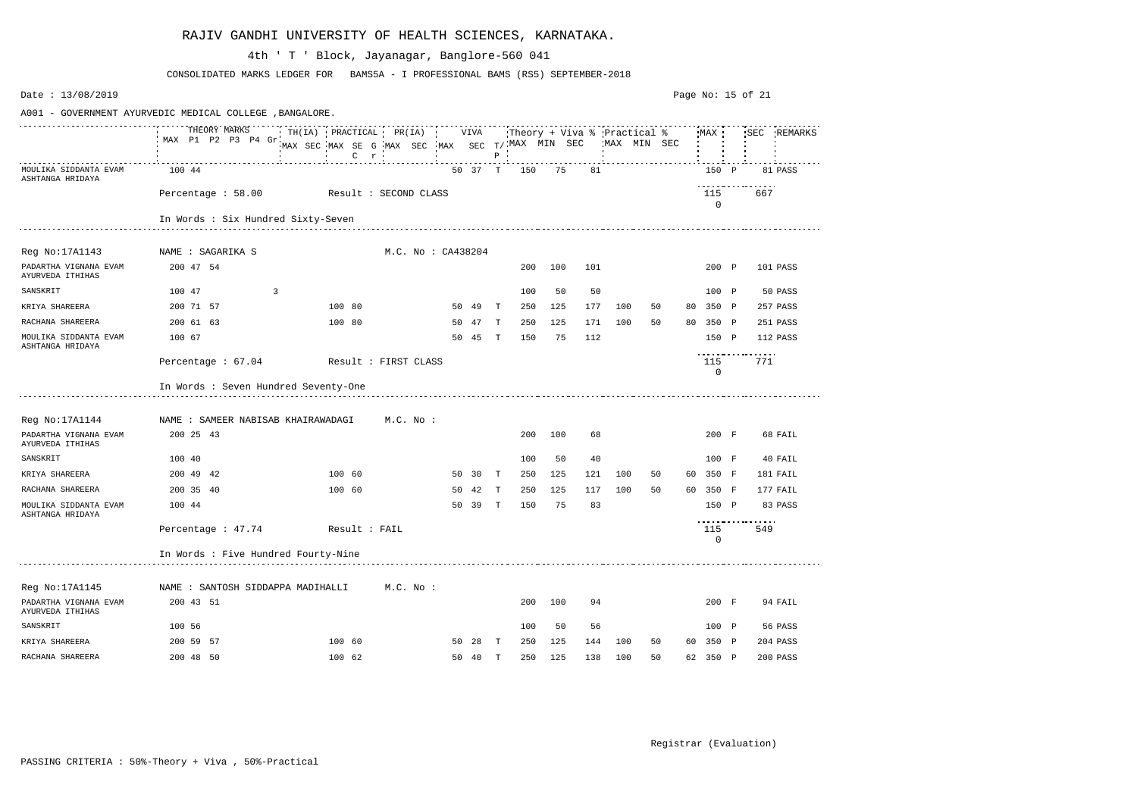| Date: 13/08/2019                                                                                                             |                                          |   |        |                                                |    |         |              |     |     |     |              |    | Page No: 15 of 21 |                           |     |             |
|------------------------------------------------------------------------------------------------------------------------------|------------------------------------------|---|--------|------------------------------------------------|----|---------|--------------|-----|-----|-----|--------------|----|-------------------|---------------------------|-----|-------------|
| A001 - GOVERNMENT AYURVEDIC MEDICAL COLLEGE , BANGALORE.<br>TH(IA) PRACTICAL PR(IA) VIVA Theory + Viva % Practical % MAX SEC |                                          |   |        |                                                |    |         |              |     |     |     |              |    |                   |                           |     |             |
|                                                                                                                              | THEORY MARKS<br>MAX P1 P2 P3 P4 Gr.      |   |        | MAX SEC MAX SE G MAX SEC MAX SEC T/MAX MIN SEC |    |         | $P$ :        |     |     |     | 'MAX MIN SEC |    |                   |                           |     | SEC REMARKS |
| MOULIKA SIDDANTA EVAM<br>ASHTANGA HRIDAYA                                                                                    | 100 44                                   |   |        |                                                |    | 50 37 T |              | 150 | 75  | 81  |              |    |                   | 150 P                     |     | 81 PASS     |
|                                                                                                                              | Percentage : 58.00 Result : SECOND CLASS |   |        |                                                |    |         |              |     |     |     |              |    |                   | 115<br>$\mathbf 0$        | 667 |             |
|                                                                                                                              | In Words : Six Hundred Sixty-Seven       |   |        |                                                |    |         |              |     |     |     |              |    |                   |                           |     |             |
|                                                                                                                              |                                          |   |        |                                                |    |         |              |     |     |     |              |    |                   |                           |     |             |
| Reg No:17A1143                                                                                                               | NAME : SAGARIKA S                        |   |        | M.C. No: CA438204                              |    |         |              |     |     |     |              |    |                   |                           |     |             |
| PADARTHA VIGNANA EVAM<br>AYURVEDA ITHIHAS                                                                                    | 200 47 54                                |   |        |                                                |    |         |              | 200 | 100 | 101 |              |    |                   | 200 P                     |     | 101 PASS    |
| SANSKRIT                                                                                                                     | 100 47                                   | 3 |        |                                                |    |         |              | 100 | 50  | 50  |              |    |                   | 100 P                     |     | 50 PASS     |
| KRIYA SHAREERA                                                                                                               | 200 71 57                                |   | 100 80 |                                                | 50 | -49     | T            | 250 | 125 | 177 | 100          | 50 | 80                | 350 P                     |     | 257 PASS    |
| RACHANA SHAREERA                                                                                                             | 200 61 63                                |   | 100 80 |                                                | 50 | 47      | T            | 250 | 125 | 171 | 100          | 50 |                   | 80 350 P                  |     | 251 PASS    |
| MOULIKA SIDDANTA EVAM<br>ASHTANGA HRIDAYA                                                                                    | 100 67                                   |   |        |                                                | 50 | 45      | T            | 150 | 75  | 112 |              |    |                   | 150 P                     | .   | 112 PASS    |
|                                                                                                                              | Percentage: 67.04 Result: FIRST CLASS    |   |        |                                                |    |         |              |     |     |     |              |    |                   | 115<br>$\mathbf 0$        | 771 |             |
|                                                                                                                              | In Words : Seven Hundred Seventy-One     |   |        |                                                |    |         |              |     |     |     |              |    |                   |                           |     |             |
| Reg No:17A1144                                                                                                               | NAME : SAMEER NABISAB KHAIRAWADAGI       |   |        | M.C. No :                                      |    |         |              |     |     |     |              |    |                   |                           |     |             |
| PADARTHA VIGNANA EVAM<br>AYURVEDA ITHIHAS                                                                                    | 200 25 43                                |   |        |                                                |    |         |              | 200 | 100 | 68  |              |    |                   | 200 F                     |     | 68 FAIL     |
| SANSKRIT                                                                                                                     | 100 40                                   |   |        |                                                |    |         |              | 100 | 50  | 40  |              |    |                   | 100 F                     |     | 40 FAIL     |
| KRIYA SHAREERA                                                                                                               | 200 49 42                                |   | 100 60 |                                                | 50 | 30      | T            | 250 | 125 | 121 | 100          | 50 | 60                | 350 F                     |     | 181 FAIL    |
| RACHANA SHAREERA                                                                                                             | 200 35 40                                |   | 100 60 |                                                | 50 | 42      | Т            | 250 | 125 | 117 | 100          | 50 | 60                | 350 F                     |     | 177 FAIL    |
| MOULIKA SIDDANTA EVAM<br>ASHTANGA HRIDAYA                                                                                    | 100 44                                   |   |        |                                                | 50 | 39      | $\mathbf{T}$ | 150 | 75  | 83  |              |    |                   | 150 P<br>---------------- |     | 83 PASS     |
|                                                                                                                              | Percentage: 47.74 Result: FAIL           |   |        |                                                |    |         |              |     |     |     |              |    |                   | 115<br>$\mathbf 0$        | 549 |             |
|                                                                                                                              | In Words : Five Hundred Fourty-Nine      |   |        |                                                |    |         |              |     |     |     |              |    |                   |                           |     |             |
| Reg No:17A1145                                                                                                               | NAME : SANTOSH SIDDAPPA MADIHALLI        |   |        | M.C. No :                                      |    |         |              |     |     |     |              |    |                   |                           |     |             |
| PADARTHA VIGNANA EVAM<br>AYURVEDA ITHIHAS                                                                                    | 200 43 51                                |   |        |                                                |    |         |              | 200 | 100 | 94  |              |    |                   | 200 F                     |     | 94 FAIL     |
| SANSKRIT                                                                                                                     | 100 56                                   |   |        |                                                |    |         |              | 100 | 50  | 56  |              |    |                   | 100 P                     |     | 56 PASS     |
| KRIYA SHAREERA                                                                                                               | 200 59 57                                |   | 100 60 |                                                |    | 50 28   | $\mathbf{T}$ | 250 | 125 | 144 | 100          | 50 |                   | 60 350 P                  |     | 204 PASS    |
| RACHANA SHAREERA                                                                                                             | 200 48 50                                |   | 100 62 |                                                |    | 50 40 T |              | 250 | 125 | 138 | 100          | 50 |                   | 62 350 P                  |     | 200 PASS    |

CONSOLIDATED MARKS LEDGER FOR BAMS5A - I PROFESSIONAL BAMS (RS5) SEPTEMBER-2018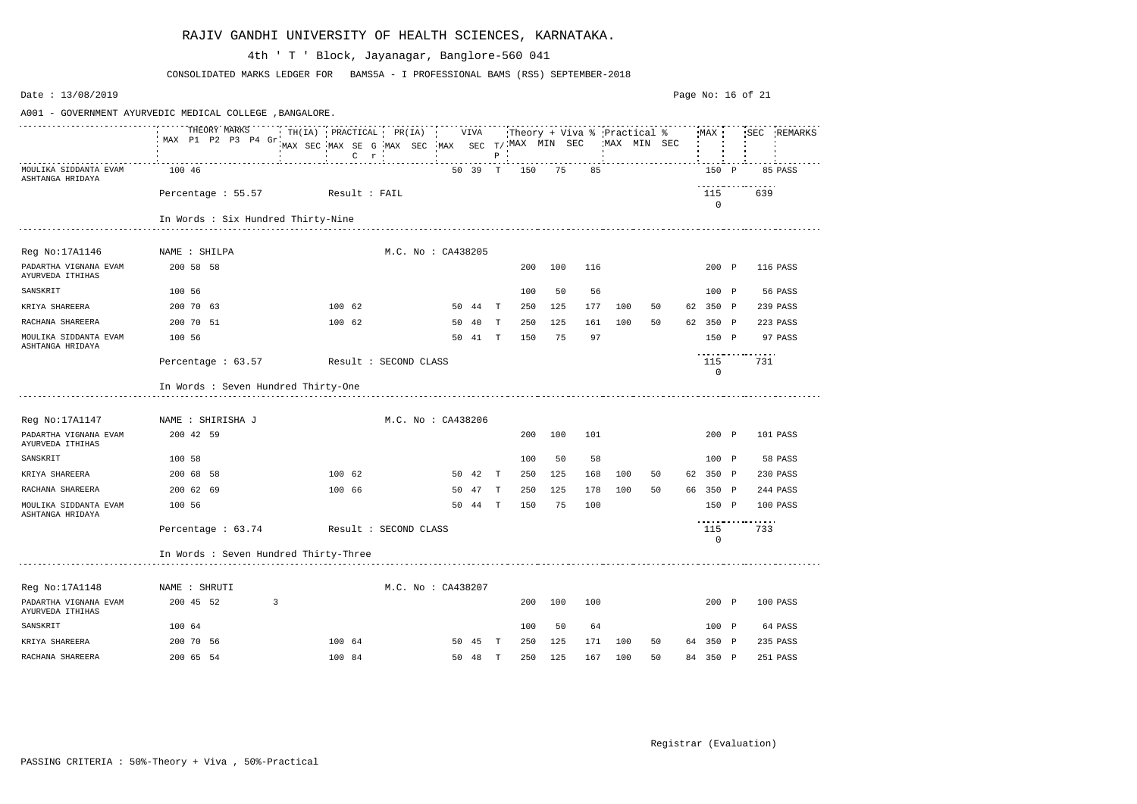| Date: 13/08/2019                                         |                                        |                                                          |                                                                              |                    |         |              |     |     |     |              |    |                    | Page No: 16 of 21 |     |             |
|----------------------------------------------------------|----------------------------------------|----------------------------------------------------------|------------------------------------------------------------------------------|--------------------|---------|--------------|-----|-----|-----|--------------|----|--------------------|-------------------|-----|-------------|
| A001 - GOVERNMENT AYURVEDIC MEDICAL COLLEGE , BANGALORE. |                                        |                                                          |                                                                              |                    |         |              |     |     |     |              |    |                    |                   |     |             |
|                                                          | THEORY MARKS<br>MAX P1 P2 P3 P4 Gr.    | TH(IA) PRACTICAL PR(IA) VIVA Theory + Viva % Practical % | MAX SEC MAX SE G MAX SEC MAX SEC T/MAX MIN SEC<br>$C$ $r$<br>$\sim 10^{-11}$ |                    |         | $P$ :        |     |     |     | 'MAX MIN SEC |    | MAX                |                   |     | SEC REMARKS |
| MOULIKA SIDDANTA EVAM<br>ASHTANGA HRIDAYA                | 100 46                                 |                                                          |                                                                              |                    | 50 39 T |              | 150 | 75  | 85  |              |    | 150 P              |                   |     | 85 PASS     |
|                                                          | Percentage : 55.57 Result : FAIL       |                                                          |                                                                              |                    |         |              |     |     |     |              |    | 115<br>$\mathbf 0$ |                   | 639 |             |
|                                                          | In Words : Six Hundred Thirty-Nine     |                                                          |                                                                              |                    |         |              |     |     |     |              |    |                    |                   |     |             |
| Reg No:17A1146                                           | NAME : SHILPA                          |                                                          |                                                                              | M.C. No: CA438205  |         |              |     |     |     |              |    |                    |                   |     |             |
| PADARTHA VIGNANA EVAM<br>AYURVEDA ITHIHAS                | 200 58 58                              |                                                          |                                                                              |                    |         |              | 200 | 100 | 116 |              |    | 200 P              |                   |     | 116 PASS    |
| SANSKRIT                                                 | 100 56                                 |                                                          |                                                                              |                    |         |              | 100 | 50  | 56  |              |    | 100 P              |                   |     | 56 PASS     |
| KRIYA SHAREERA                                           | 200 70 63                              |                                                          | 100 62                                                                       |                    | 50 44 T |              | 250 | 125 | 177 | 100          | 50 | 62 350 P           |                   |     | 239 PASS    |
| RACHANA SHAREERA                                         | 200 70 51                              |                                                          | 100 62                                                                       | 50                 | -40     | T            | 250 | 125 | 161 | 100          | 50 | 62 350 P           |                   |     | 223 PASS    |
| MOULIKA SIDDANTA EVAM<br>ASHTANGA HRIDAYA                | 100 56                                 |                                                          |                                                                              | 50                 | 41      | T            | 150 | 75  | 97  |              |    | 150 P              |                   |     | 97 PASS     |
|                                                          | Percentage : 63.57                     | Result : SECOND CLASS                                    |                                                                              |                    |         |              |     |     |     |              |    | 115<br>0           | ----------------- | 731 |             |
|                                                          | In Words : Seven Hundred Thirty-One    |                                                          |                                                                              |                    |         |              |     |     |     |              |    |                    |                   |     |             |
| Reg No:17A1147                                           | NAME : SHIRISHA J                      |                                                          |                                                                              | M.C. No : CA438206 |         |              |     |     |     |              |    |                    |                   |     |             |
| PADARTHA VIGNANA EVAM<br>AYURVEDA ITHIHAS                | 200 42 59                              |                                                          |                                                                              |                    |         |              | 200 | 100 | 101 |              |    | 200 P              |                   |     | 101 PASS    |
| SANSKRIT                                                 | 100 58                                 |                                                          |                                                                              |                    |         |              | 100 | 50  | 58  |              |    | 100 P              |                   |     | 58 PASS     |
| KRIYA SHAREERA                                           | 200 68 58                              |                                                          | 100 62                                                                       | 50                 | - 42    | $\mathbf{T}$ | 250 | 125 | 168 | 100          | 50 | 62 350 P           |                   |     | 230 PASS    |
| RACHANA SHAREERA                                         | 200 62 69                              |                                                          | 100 66                                                                       | 50                 | 47      | Т            | 250 | 125 | 178 | 100          | 50 | 66 350 P           |                   |     | 244 PASS    |
| MOULIKA SIDDANTA EVAM<br>ASHTANGA HRIDAYA                | 100 56                                 |                                                          |                                                                              | 50                 | 44      | $\mathbf{T}$ | 150 | 75  | 100 |              |    | 150 P              | ----------------- |     | 100 PASS    |
|                                                          | Percentage: 63.74 Result: SECOND CLASS |                                                          |                                                                              |                    |         |              |     |     |     |              |    | 115<br>$\mathbf 0$ |                   | 733 |             |
|                                                          | In Words : Seven Hundred Thirty-Three  |                                                          |                                                                              |                    |         |              |     |     |     |              |    |                    |                   |     |             |
| Reg No:17A1148                                           | NAME : SHRUTI                          |                                                          |                                                                              | M.C. No: CA438207  |         |              |     |     |     |              |    |                    |                   |     |             |
| PADARTHA VIGNANA EVAM<br>AYURVEDA ITHIHAS                | 200 45 52                              | $\overline{3}$                                           |                                                                              |                    |         |              | 200 | 100 | 100 |              |    | 200 P              |                   |     | 100 PASS    |
| SANSKRIT                                                 | 100 64                                 |                                                          |                                                                              |                    |         |              | 100 | 50  | 64  |              |    | 100 P              |                   |     | 64 PASS     |
| KRIYA SHAREERA                                           | 200 70 56                              |                                                          | 100 64                                                                       |                    | 50 45 T |              | 250 | 125 | 171 | 100          | 50 | 64 350 P           |                   |     | 235 PASS    |
| RACHANA SHAREERA                                         | 200 65 54                              |                                                          | 100 84                                                                       |                    | 50 48 T |              | 250 | 125 | 167 | 100          | 50 | 84 350 P           |                   |     | 251 PASS    |

CONSOLIDATED MARKS LEDGER FOR BAMS5A - I PROFESSIONAL BAMS (RS5) SEPTEMBER-2018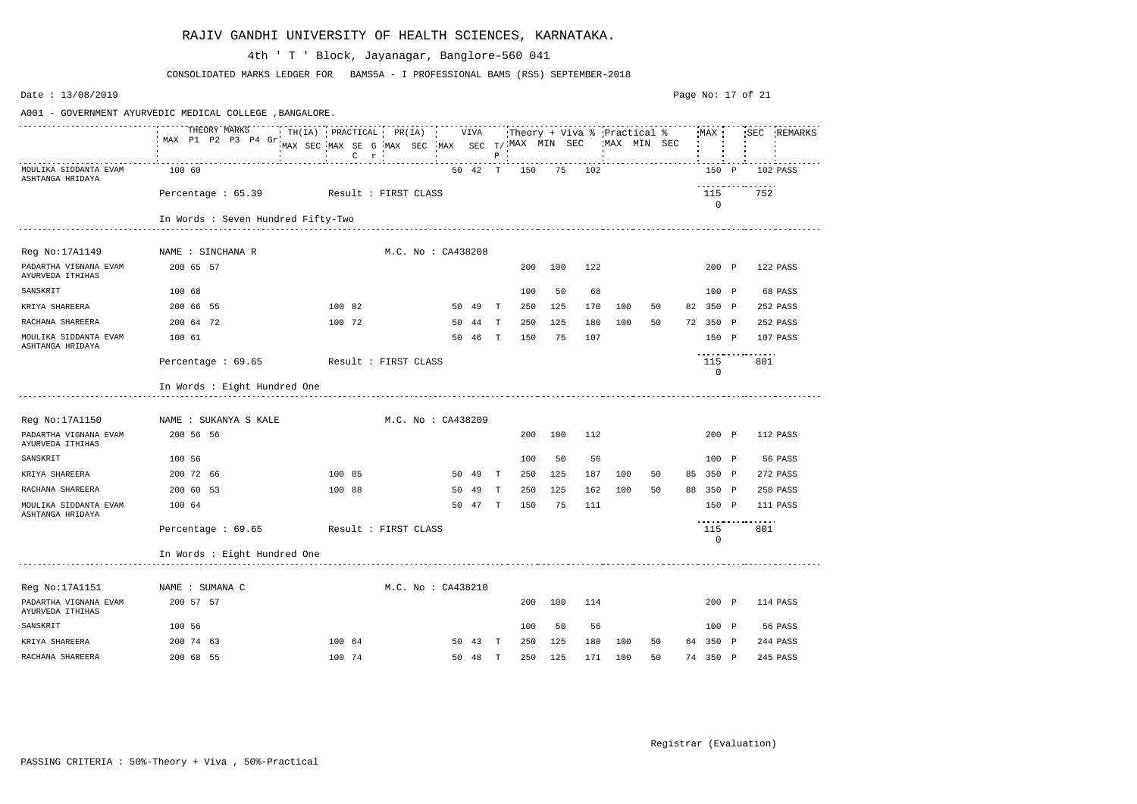| Date: 13/08/2019                                         |                                       |  |                                                           |                    |  |                    |         |              |     |     |        |     |              |    | Page No: 17 of 21  |                          |             |
|----------------------------------------------------------|---------------------------------------|--|-----------------------------------------------------------|--------------------|--|--------------------|---------|--------------|-----|-----|--------|-----|--------------|----|--------------------|--------------------------|-------------|
| A001 - GOVERNMENT AYURVEDIC MEDICAL COLLEGE , BANGALORE. |                                       |  |                                                           |                    |  |                    |         |              |     |     |        |     |              |    |                    |                          |             |
|                                                          | THEORY MARKS<br>MAX P1 P2 P3 P4 Gr.   |  | MAX SEC MAX SE G MAX SEC MAX SEC T/MAX MIN SEC<br>$C$ $r$ |                    |  |                    |         | $P$ $\cdot$  |     |     |        |     | 'MAX MIN SEC |    |                    |                          | SEC REMARKS |
| MOULIKA SIDDANTA EVAM<br>ASHTANGA HRIDAYA                | 100 60                                |  |                                                           |                    |  |                    | 50 42 T |              | 150 |     | 75 102 |     |              |    | 150 P              |                          | 102 PASS    |
|                                                          | Percentage: 65.39 Result: FIRST CLASS |  |                                                           |                    |  |                    |         |              |     |     |        |     |              |    | 115<br>$\mathbf 0$ | 752                      |             |
|                                                          | In Words : Seven Hundred Fifty-Two    |  |                                                           |                    |  |                    |         |              |     |     |        |     |              |    |                    |                          |             |
| Reg No: 17A1149                                          | NAME : SINCHANA R                     |  |                                                           |                    |  | M.C. No: CA438208  |         |              |     |     |        |     |              |    |                    |                          |             |
| PADARTHA VIGNANA EVAM<br>AYURVEDA ITHIHAS                | 200 65 57                             |  |                                                           |                    |  |                    |         |              | 200 | 100 | 122    |     |              |    | 200 P              |                          | 122 PASS    |
| SANSKRIT                                                 | 100 68                                |  |                                                           |                    |  |                    |         |              | 100 | 50  | 68     |     |              |    | 100 P              |                          | 68 PASS     |
| KRIYA SHAREERA                                           | 200 66 55                             |  | 100 82                                                    |                    |  |                    | 50 49   | $\mathbb{T}$ | 250 | 125 | 170    | 100 | 50           |    | 82 350 P           |                          | 252 PASS    |
| RACHANA SHAREERA                                         | 200 64 72                             |  | 100 72                                                    |                    |  |                    | 50 44 T |              | 250 | 125 | 180    | 100 | 50           |    | 72 350 P           |                          | 252 PASS    |
| MOULIKA SIDDANTA EVAM<br>ASHTANGA HRIDAYA                | 100 61                                |  |                                                           |                    |  |                    | 50 46   | T            | 150 | 75  | 107    |     |              |    | 150 P              |                          | 107 PASS    |
|                                                          | Percentage $: 69.65$                  |  | Result : FIRST CLASS                                      |                    |  |                    |         |              |     |     |        |     |              |    | 115<br>$\mathbf 0$ | -----------------<br>801 |             |
|                                                          | In Words : Eight Hundred One          |  |                                                           |                    |  |                    |         |              |     |     |        |     |              |    |                    |                          |             |
| Reg No:17A1150                                           | NAME : SUKANYA S KALE                 |  |                                                           | M.C. No : CA438209 |  |                    |         |              |     |     |        |     |              |    |                    |                          |             |
| PADARTHA VIGNANA EVAM<br>AYURVEDA ITHIHAS                | 200 56 56                             |  |                                                           |                    |  |                    |         |              | 200 | 100 | 112    |     |              |    | 200 P              |                          | 112 PASS    |
| SANSKRIT                                                 | 100 56                                |  |                                                           |                    |  |                    |         |              | 100 | 50  | 56     |     |              |    | 100 P              |                          | 56 PASS     |
| KRIYA SHAREERA                                           | 200 72 66                             |  | 100 85                                                    |                    |  |                    | 50 49   | $\mathbf{T}$ | 250 | 125 | 187    | 100 | 50           | 85 | 350 P              |                          | 272 PASS    |
| RACHANA SHAREERA                                         | 200 60 53                             |  | 100 88                                                    |                    |  | 50                 | 49      | T            | 250 | 125 | 162    | 100 | 50           |    | 88 350 P           |                          | 250 PASS    |
| MOULIKA SIDDANTA EVAM<br>ASHTANGA HRIDAYA                | 100 64                                |  |                                                           |                    |  |                    | 50 47 T |              | 150 | 75  | 111    |     |              |    | 150 P              | -----------------        | 111 PASS    |
|                                                          | Percentage: 69.65 Result: FIRST CLASS |  |                                                           |                    |  |                    |         |              |     |     |        |     |              |    | 115<br>0           | 801                      |             |
|                                                          | In Words : Eight Hundred One          |  |                                                           |                    |  |                    |         |              |     |     |        |     |              |    |                    |                          |             |
| Reg No:17A1151                                           | NAME : SUMANA C                       |  |                                                           |                    |  | M.C. No : CA438210 |         |              |     |     |        |     |              |    |                    |                          |             |
| PADARTHA VIGNANA EVAM<br>AYURVEDA ITHIHAS                | 200 57 57                             |  |                                                           |                    |  |                    |         |              | 200 | 100 | 114    |     |              |    | 200 P              |                          | 114 PASS    |
| SANSKRIT                                                 | 100 56                                |  |                                                           |                    |  |                    |         |              | 100 | 50  | 56     |     |              |    | 100 P              |                          | 56 PASS     |
| KRIYA SHAREERA                                           | 200 74 63                             |  | 100 64                                                    |                    |  |                    | 50 43 T |              | 250 | 125 | 180    | 100 | 50           |    | 64 350 P           |                          | 244 PASS    |
| RACHANA SHAREERA                                         | 200 68 55                             |  | 100 74                                                    |                    |  |                    | 50 48 T |              | 250 | 125 | 171    | 100 | 50           |    | 74 350 P           |                          | 245 PASS    |

CONSOLIDATED MARKS LEDGER FOR BAMS5A - I PROFESSIONAL BAMS (RS5) SEPTEMBER-2018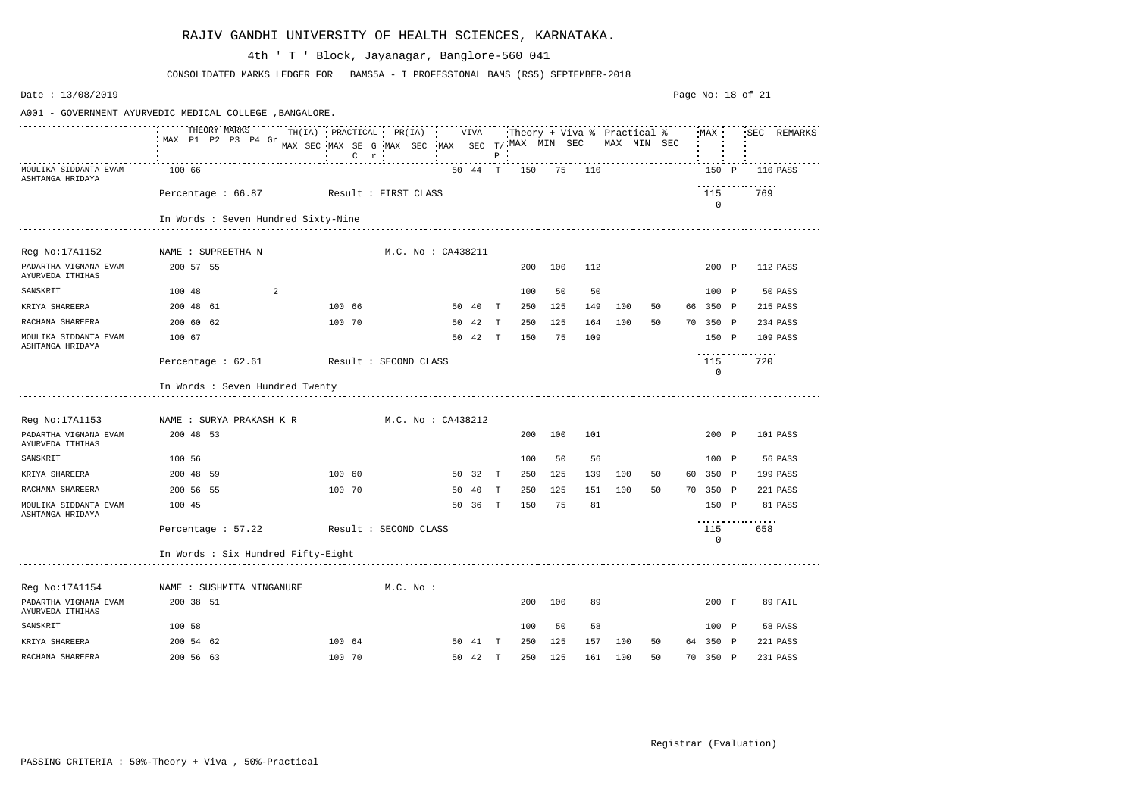| Date: 13/08/2019                                         |                                       |  |                                                                                                                             |                    |    |         |              |     |     |     |             |    |    |                    | Page No: $18$ of $21$ |     |             |
|----------------------------------------------------------|---------------------------------------|--|-----------------------------------------------------------------------------------------------------------------------------|--------------------|----|---------|--------------|-----|-----|-----|-------------|----|----|--------------------|-----------------------|-----|-------------|
| A001 - GOVERNMENT AYURVEDIC MEDICAL COLLEGE , BANGALORE. |                                       |  |                                                                                                                             |                    |    |         |              |     |     |     |             |    |    |                    |                       |     |             |
|                                                          | THEORY MARKS<br>MAX P1 P2 P3 P4 Gr    |  | TH(IA) PRACTICAL PR(IA) VIVA Theory + Viva % Practical % MAX '<br>MAX SEC MAX SE G MAX SEC MAX SEC T/MAX MIN SEC<br>$C$ $r$ |                    |    |         | $P$ $\cdot$  |     |     |     | MAX MIN SEC |    |    |                    |                       |     | SEC REMARKS |
| MOULIKA SIDDANTA EVAM<br>ASHTANGA HRIDAYA                | 100 66                                |  |                                                                                                                             |                    |    | 50 44 T |              | 150 | 75  | 110 |             |    |    | 150 P              |                       |     | 110 PASS    |
|                                                          | Percentage: 66.87 Result: FIRST CLASS |  |                                                                                                                             |                    |    |         |              |     |     |     |             |    |    | 115<br>$\mathbf 0$ |                       | 769 |             |
|                                                          | In Words : Seven Hundred Sixty-Nine   |  |                                                                                                                             |                    |    |         |              |     |     |     |             |    |    |                    |                       |     |             |
| Reg No:17A1152                                           | NAME : SUPREETHA N                    |  |                                                                                                                             | M.C. No : CA438211 |    |         |              |     |     |     |             |    |    |                    |                       |     |             |
| PADARTHA VIGNANA EVAM<br>AYURVEDA ITHIHAS                | 200 57 55                             |  |                                                                                                                             |                    |    |         |              | 200 | 100 | 112 |             |    |    | 200 P              |                       |     | 112 PASS    |
| SANSKRIT                                                 | 100 48<br>2                           |  |                                                                                                                             |                    |    |         |              | 100 | 50  | 50  |             |    |    | 100 P              |                       |     | 50 PASS     |
| KRIYA SHAREERA                                           | 200 48 61                             |  | 100 66                                                                                                                      |                    |    | 50 40   | $\mathbf{T}$ | 250 | 125 | 149 | 100         | 50 | 66 | 350 P              |                       |     | 215 PASS    |
| RACHANA SHAREERA                                         | 200 60 62                             |  | 100 70                                                                                                                      |                    |    | 50 42   | T            | 250 | 125 | 164 | 100         | 50 |    | 70 350 P           |                       |     | 234 PASS    |
| MOULIKA SIDDANTA EVAM<br>ASHTANGA HRIDAYA                | 100 67                                |  |                                                                                                                             |                    |    | 50 42   | T            | 150 | 75  | 109 |             |    |    | 150 P              |                       |     | 109 PASS    |
|                                                          | Percentage : 62.61                    |  | Result : SECOND CLASS                                                                                                       |                    |    |         |              |     |     |     |             |    |    | 115<br>$\mathbf 0$ | <u>.</u>              | 720 |             |
|                                                          | In Words : Seven Hundred Twenty       |  |                                                                                                                             |                    |    |         |              |     |     |     |             |    |    |                    |                       |     |             |
| Reg No:17A1153                                           | NAME : SURYA PRAKASH K R              |  |                                                                                                                             | M.C. No : CA438212 |    |         |              |     |     |     |             |    |    |                    |                       |     |             |
| PADARTHA VIGNANA EVAM<br>AYURVEDA ITHIHAS                | 200 48 53                             |  |                                                                                                                             |                    |    |         |              | 200 | 100 | 101 |             |    |    | 200 P              |                       |     | 101 PASS    |
| SANSKRIT                                                 | 100 56                                |  |                                                                                                                             |                    |    |         |              | 100 | 50  | 56  |             |    |    | 100 P              |                       |     | 56 PASS     |
| KRIYA SHAREERA                                           | 200 48 59                             |  | 100 60                                                                                                                      |                    |    | 50 32 T |              | 250 | 125 | 139 | 100         | 50 | 60 | 350 P              |                       |     | 199 PASS    |
| RACHANA SHAREERA                                         | 200 56 55                             |  | 100 70                                                                                                                      |                    | 50 | 40      | T            | 250 | 125 | 151 | 100         | 50 |    | 70 350 P           |                       |     | 221 PASS    |
| MOULIKA SIDDANTA EVAM<br>ASHTANGA HRIDAYA                | 100 45                                |  |                                                                                                                             |                    |    | 50 36   | $\mathbf{T}$ | 150 | 75  | 81  |             |    |    | 150 P              |                       |     | 81 PASS     |
|                                                          | Percentage : 57.22                    |  | Result : SECOND CLASS                                                                                                       |                    |    |         |              |     |     |     |             |    |    | 115<br>0           | ----------------      | 658 |             |
|                                                          | In Words : Six Hundred Fifty-Eight    |  |                                                                                                                             |                    |    |         |              |     |     |     |             |    |    |                    |                       |     |             |
| Reg No:17A1154                                           | NAME : SUSHMITA NINGANURE             |  |                                                                                                                             | $M.C.$ No :        |    |         |              |     |     |     |             |    |    |                    |                       |     |             |
| PADARTHA VIGNANA EVAM<br>AYURVEDA ITHIHAS                | 200 38 51                             |  |                                                                                                                             |                    |    |         |              | 200 | 100 | 89  |             |    |    | 200 F              |                       |     | 89 FAIL     |
| SANSKRIT                                                 | 100 58                                |  |                                                                                                                             |                    |    |         |              | 100 | 50  | 58  |             |    |    | 100 P              |                       |     | 58 PASS     |
| KRIYA SHAREERA                                           | 200 54 62                             |  | 100 64                                                                                                                      |                    |    | 50 41 T |              | 250 | 125 | 157 | 100         | 50 |    | 64 350 P           |                       |     | 221 PASS    |
| RACHANA SHAREERA                                         | 200 56 63                             |  | 100 70                                                                                                                      |                    |    | 50 42 T |              | 250 | 125 | 161 | 100         | 50 |    | 70 350 P           |                       |     | 231 PASS    |

CONSOLIDATED MARKS LEDGER FOR BAMS5A - I PROFESSIONAL BAMS (RS5) SEPTEMBER-2018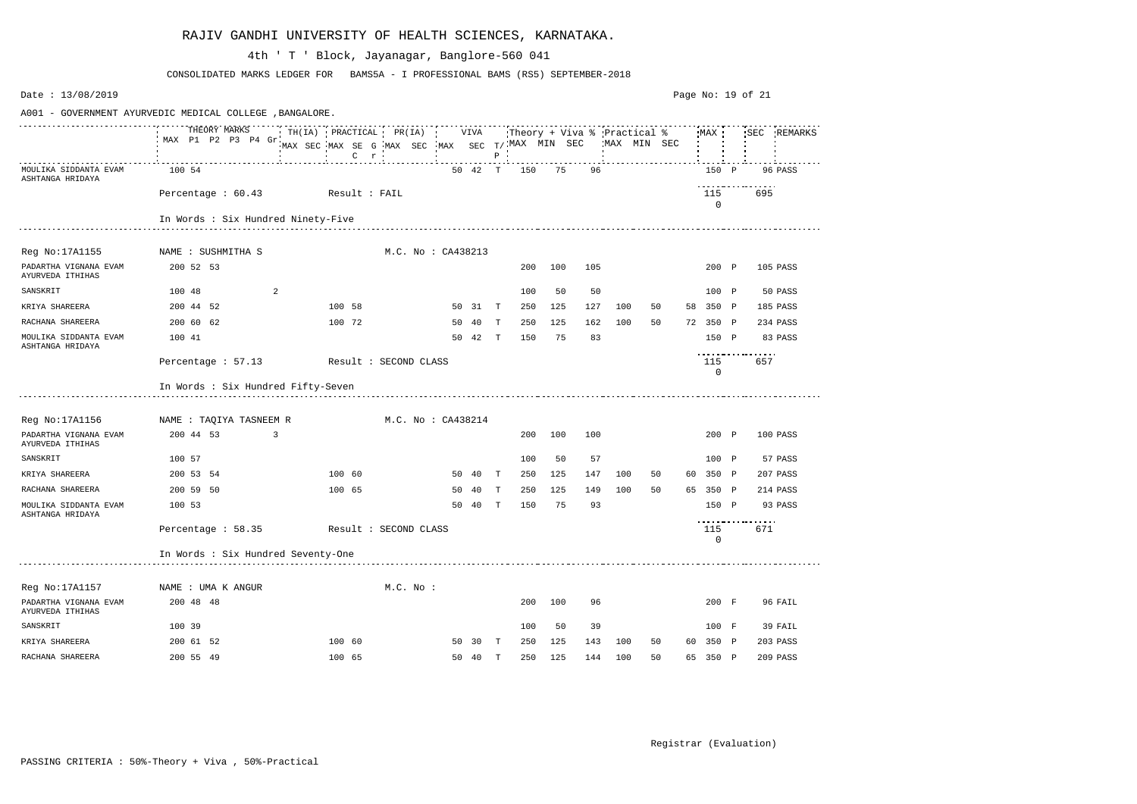| Date: 13/08/2019                                                                                                                                           |                                        |  |   |                       |  |          |                    |         |              |     |     |     |     |    | Page No: 19 of 21 |                    |                         |             |
|------------------------------------------------------------------------------------------------------------------------------------------------------------|----------------------------------------|--|---|-----------------------|--|----------|--------------------|---------|--------------|-----|-----|-----|-----|----|-------------------|--------------------|-------------------------|-------------|
| A001 - GOVERNMENT AYURVEDIC MEDICAL COLLEGE , BANGALORE.<br>THEORY MARKS<br>THEORY MARKS THILLA) PRACTICAL PR(IA) VIVA Theory + Viva % Practical % MAX SEC |                                        |  |   |                       |  |          |                    |         |              |     |     |     |     |    |                   |                    |                         |             |
|                                                                                                                                                            | MAX P1 P2 P3 P4 Gr.                    |  |   |                       |  |          |                    |         | $P$ $\vdots$ |     |     |     |     |    |                   |                    |                         | SEC REMARKS |
| MOULIKA SIDDANTA EVAM<br>ASHTANGA HRIDAYA                                                                                                                  | 100 54                                 |  |   |                       |  |          |                    | 50 42 T |              | 150 | 75  | 96  |     |    |                   | 150 P              |                         | 96 PASS     |
|                                                                                                                                                            | Percentage: 60.43 Result: FAIL         |  |   |                       |  |          |                    |         |              |     |     |     |     |    |                   | 115<br>$\mathbf 0$ | .<br>695                |             |
|                                                                                                                                                            | In Words : Six Hundred Ninety-Five     |  |   |                       |  |          |                    |         |              |     |     |     |     |    |                   |                    |                         |             |
|                                                                                                                                                            |                                        |  |   |                       |  |          |                    |         |              |     |     |     |     |    |                   |                    |                         |             |
| Reg No:17A1155                                                                                                                                             | NAME : SUSHMITHA S                     |  |   |                       |  |          | M.C. No : CA438213 |         |              |     |     |     |     |    |                   |                    |                         |             |
| PADARTHA VIGNANA EVAM<br>AYURVEDA ITHIHAS                                                                                                                  | 200 52 53                              |  |   |                       |  |          |                    |         |              | 200 | 100 | 105 |     |    |                   | 200 P              |                         | 105 PASS    |
| SANSKRIT                                                                                                                                                   | 100 48                                 |  | 2 |                       |  |          |                    |         |              | 100 | 50  | 50  |     |    |                   | 100 P              |                         | 50 PASS     |
| KRIYA SHAREERA                                                                                                                                             | 200 44 52                              |  |   | 100 58                |  |          |                    | 50 31 T |              | 250 | 125 | 127 | 100 | 50 |                   | 58 350 P           |                         | 185 PASS    |
| RACHANA SHAREERA                                                                                                                                           | 200 60 62                              |  |   | 100 72                |  |          |                    | 50 40   | T            | 250 | 125 | 162 | 100 | 50 |                   | 72 350 P           |                         | 234 PASS    |
| MOULIKA SIDDANTA EVAM<br>ASHTANGA HRIDAYA                                                                                                                  | 100 41                                 |  |   |                       |  |          |                    | 50 42 T |              | 150 | 75  | 83  |     |    |                   | 150 P              |                         | 83 PASS     |
|                                                                                                                                                            | Percentage : 57.13                     |  |   | Result : SECOND CLASS |  |          |                    |         |              |     |     |     |     |    |                   | 115<br>0           | .<br>657                |             |
|                                                                                                                                                            | In Words : Six Hundred Fifty-Seven     |  |   |                       |  |          |                    |         |              |     |     |     |     |    |                   |                    |                         |             |
| Reg No:17A1156                                                                                                                                             | NAME : TAQIYA TASNEEM R                |  |   |                       |  |          | M.C. No : CA438214 |         |              |     |     |     |     |    |                   |                    |                         |             |
| PADARTHA VIGNANA EVAM<br>AYURVEDA ITHIHAS                                                                                                                  | 200 44 53                              |  | 3 |                       |  |          |                    |         |              | 200 | 100 | 100 |     |    |                   | 200 P              |                         | 100 PASS    |
| SANSKRIT                                                                                                                                                   | 100 57                                 |  |   |                       |  |          |                    |         |              | 100 | 50  | 57  |     |    |                   | 100 P              |                         | 57 PASS     |
| KRIYA SHAREERA                                                                                                                                             | 200 53 54                              |  |   | 100 60                |  |          | 50                 | - 40    | $\mathbf{T}$ | 250 | 125 | 147 | 100 | 50 |                   | 60 350 P           |                         | 207 PASS    |
| RACHANA SHAREERA                                                                                                                                           | 200 59 50                              |  |   | 100 65                |  |          | 50                 | 40      | Т            | 250 | 125 | 149 | 100 | 50 |                   | 65 350 P           |                         | 214 PASS    |
| MOULIKA SIDDANTA EVAM<br>ASHTANGA HRIDAYA                                                                                                                  | 100 53                                 |  |   |                       |  |          | 50                 | 40      | $\mathbf{T}$ | 150 | 75  | 93  |     |    |                   | 150 P              |                         | 93 PASS     |
|                                                                                                                                                            | Percentage: 58.35 Result: SECOND CLASS |  |   |                       |  |          |                    |         |              |     |     |     |     |    |                   | 115<br>0           | ----------------<br>671 |             |
|                                                                                                                                                            | In Words : Six Hundred Seventy-One     |  |   |                       |  |          |                    |         |              |     |     |     |     |    |                   |                    |                         |             |
| Reg No:17A1157                                                                                                                                             | NAME : UMA K ANGUR                     |  |   |                       |  | M.C. No. |                    |         |              |     |     |     |     |    |                   |                    |                         |             |
| PADARTHA VIGNANA EVAM<br>AYURVEDA ITHIHAS                                                                                                                  | 200 48 48                              |  |   |                       |  |          |                    |         |              | 200 | 100 | 96  |     |    |                   | 200 F              |                         | 96 FAIL     |
| SANSKRIT                                                                                                                                                   | 100 39                                 |  |   |                       |  |          |                    |         |              | 100 | 50  | 39  |     |    |                   | 100 F              |                         | 39 FAIL     |
| KRIYA SHAREERA                                                                                                                                             | 200 61 52                              |  |   | 100 60                |  |          |                    | 50 30 T |              | 250 | 125 | 143 | 100 | 50 |                   | 60 350 P           |                         | 203 PASS    |
| RACHANA SHAREERA                                                                                                                                           | 200 55 49                              |  |   | 100 65                |  |          |                    | 50 40 T |              | 250 | 125 | 144 | 100 | 50 |                   | 65 350 P           |                         | 209 PASS    |

CONSOLIDATED MARKS LEDGER FOR BAMS5A - I PROFESSIONAL BAMS (RS5) SEPTEMBER-2018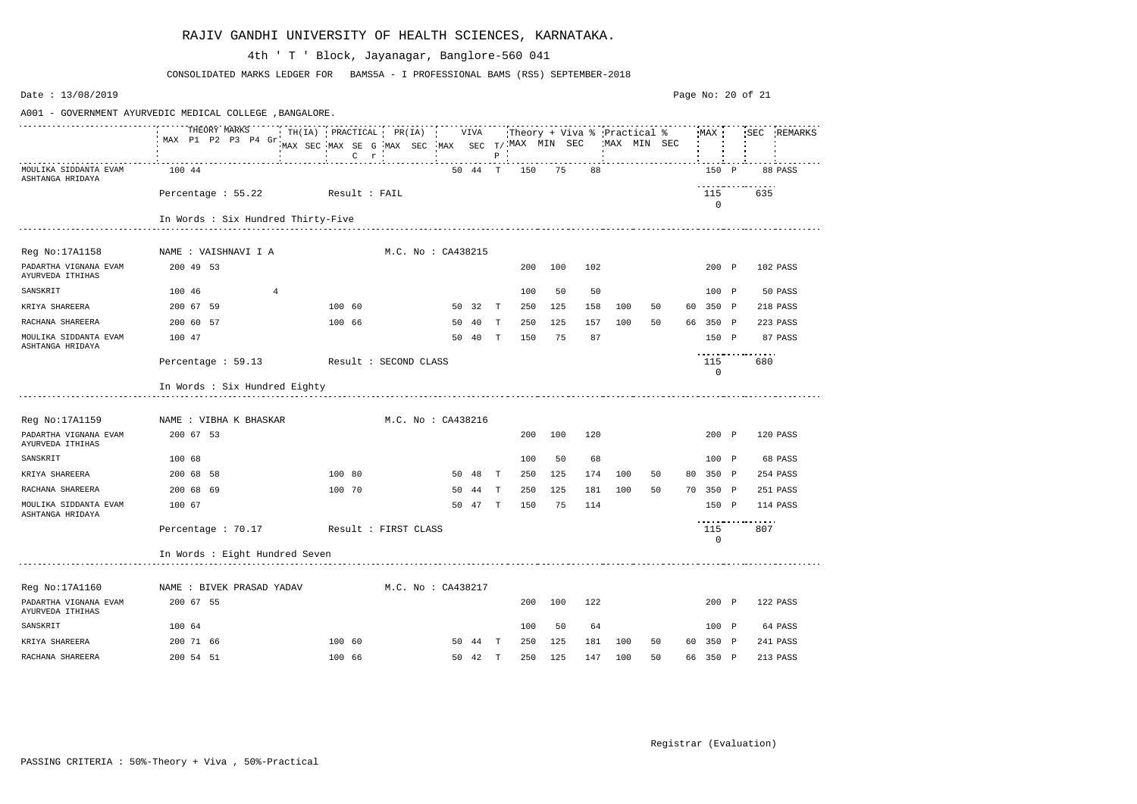| Date: 13/08/2019                                                                                                                                                                                                                                                                                                                                                                                                                                                                             |                                         |                       |                                                           |  |  |                    |         |              |     |     |     |     |             |      |                    | Page No: 20 of 21 |     |             |
|----------------------------------------------------------------------------------------------------------------------------------------------------------------------------------------------------------------------------------------------------------------------------------------------------------------------------------------------------------------------------------------------------------------------------------------------------------------------------------------------|-----------------------------------------|-----------------------|-----------------------------------------------------------|--|--|--------------------|---------|--------------|-----|-----|-----|-----|-------------|------|--------------------|-------------------|-----|-------------|
| A001 - GOVERNMENT AYURVEDIC MEDICAL COLLEGE , BANGALORE.<br>$\begin{tabular}{lcccccc} \texttt{r} & \texttt{r} & \texttt{r} & \texttt{r} & \texttt{r} & \texttt{r} & \texttt{r} & \texttt{r} & \texttt{r} & \texttt{r} & \texttt{r} & \texttt{r} & \texttt{r} & \texttt{r} & \texttt{r} & \texttt{r} & \texttt{r} & \texttt{r} & \texttt{r} & \texttt{r} & \texttt{r} & \texttt{r} & \texttt{r} & \texttt{r} & \texttt{r} & \texttt{r} & \texttt{r} & \texttt{r} & \texttt{r} & \texttt{r} &$ |                                         |                       |                                                           |  |  |                    |         |              |     |     |     |     |             |      |                    |                   |     |             |
|                                                                                                                                                                                                                                                                                                                                                                                                                                                                                              | THEORY MARKS<br>MAX P1 P2 P3 P4 Gr.     |                       | MAX SEC MAX SE G MAX SEC MAX SEC T/MAX MIN SEC<br>$C$ $r$ |  |  |                    |         | $P$ $\cdot$  |     |     |     |     | MAX MIN SEC |      | MAX                |                   |     | SEC REMARKS |
| MOULIKA SIDDANTA EVAM<br>ASHTANGA HRIDAYA                                                                                                                                                                                                                                                                                                                                                                                                                                                    | 100 44                                  |                       |                                                           |  |  |                    | 50 44 T |              | 150 | 75  | 88  |     |             |      | 150 P              |                   |     | 88 PASS     |
|                                                                                                                                                                                                                                                                                                                                                                                                                                                                                              | Percentage : 55.22 Result : FAIL        |                       |                                                           |  |  |                    |         |              |     |     |     |     |             |      | 115<br>$\mathbf 0$ |                   | 635 |             |
|                                                                                                                                                                                                                                                                                                                                                                                                                                                                                              | In Words : Six Hundred Thirty-Five      |                       |                                                           |  |  |                    |         |              |     |     |     |     |             |      |                    |                   |     |             |
| Reg No:17A1158                                                                                                                                                                                                                                                                                                                                                                                                                                                                               | NAME : VAISHNAVI I A                    |                       |                                                           |  |  | M.C. No : CA438215 |         |              |     |     |     |     |             |      |                    |                   |     |             |
| PADARTHA VIGNANA EVAM<br>AYURVEDA ITHIHAS                                                                                                                                                                                                                                                                                                                                                                                                                                                    | 200 49 53                               |                       |                                                           |  |  |                    |         |              | 200 | 100 | 102 |     |             |      | 200 P              |                   |     | 102 PASS    |
| SANSKRIT                                                                                                                                                                                                                                                                                                                                                                                                                                                                                     | 100 46                                  | 4                     |                                                           |  |  |                    |         |              | 100 | 50  | 50  |     |             |      | 100 P              |                   |     | 50 PASS     |
| KRIYA SHAREERA                                                                                                                                                                                                                                                                                                                                                                                                                                                                               | 200 67 59                               |                       | 100 60                                                    |  |  |                    | 50 32   | $\mathbf{T}$ | 250 | 125 | 158 | 100 | 50          | 60 - | 350 P              |                   |     | 218 PASS    |
| RACHANA SHAREERA                                                                                                                                                                                                                                                                                                                                                                                                                                                                             | 200 60 57                               |                       | 100 66                                                    |  |  | 50                 | - 40    | T            | 250 | 125 | 157 | 100 | 50          |      | 66 350 P           |                   |     | 223 PASS    |
| MOULIKA SIDDANTA EVAM<br>ASHTANGA HRIDAYA                                                                                                                                                                                                                                                                                                                                                                                                                                                    | 100 47                                  |                       |                                                           |  |  | 50                 | - 40    | T            | 150 | 75  | 87  |     |             |      | 150 P              | <u>.</u>          |     | 87 PASS     |
|                                                                                                                                                                                                                                                                                                                                                                                                                                                                                              | Percentage : 59.13                      | Result : SECOND CLASS |                                                           |  |  |                    |         |              |     |     |     |     |             |      | 115<br>$\mathbf 0$ |                   | 680 |             |
|                                                                                                                                                                                                                                                                                                                                                                                                                                                                                              | In Words : Six Hundred Eighty           |                       |                                                           |  |  |                    |         |              |     |     |     |     |             |      |                    |                   |     |             |
| Reg No:17A1159                                                                                                                                                                                                                                                                                                                                                                                                                                                                               | NAME : VIBHA K BHASKAR                  |                       |                                                           |  |  | M.C. No : CA438216 |         |              |     |     |     |     |             |      |                    |                   |     |             |
| PADARTHA VIGNANA EVAM<br>AYURVEDA ITHIHAS                                                                                                                                                                                                                                                                                                                                                                                                                                                    | 200 67 53                               |                       |                                                           |  |  |                    |         |              | 200 | 100 | 120 |     |             |      | 200 P              |                   |     | 120 PASS    |
| SANSKRIT                                                                                                                                                                                                                                                                                                                                                                                                                                                                                     | 100 68                                  |                       |                                                           |  |  |                    |         |              | 100 | 50  | 68  |     |             |      | 100 P              |                   |     | 68 PASS     |
| KRIYA SHAREERA                                                                                                                                                                                                                                                                                                                                                                                                                                                                               | 200 68 58                               |                       | 100 80                                                    |  |  | 50                 | - 48    | $\mathbf{T}$ | 250 | 125 | 174 | 100 | 50          | 80   | 350 P              |                   |     | 254 PASS    |
| RACHANA SHAREERA                                                                                                                                                                                                                                                                                                                                                                                                                                                                             | 200 68 69                               |                       | 100 70                                                    |  |  | 50                 | 44      | T            | 250 | 125 | 181 | 100 | 50          |      | 70 350 P           |                   |     | 251 PASS    |
| MOULIKA SIDDANTA EVAM<br>ASHTANGA HRIDAYA                                                                                                                                                                                                                                                                                                                                                                                                                                                    | 100 67                                  |                       |                                                           |  |  | 50                 | 47      | T            | 150 | 75  | 114 |     |             |      | 150 P              | ----------------- |     | 114 PASS    |
|                                                                                                                                                                                                                                                                                                                                                                                                                                                                                              | Percentage : 70.17 Result : FIRST CLASS |                       |                                                           |  |  |                    |         |              |     |     |     |     |             |      | 115<br>0           |                   | 807 |             |
|                                                                                                                                                                                                                                                                                                                                                                                                                                                                                              | In Words : Eight Hundred Seven          |                       |                                                           |  |  |                    |         |              |     |     |     |     |             |      |                    |                   |     |             |
| Reg No:17A1160                                                                                                                                                                                                                                                                                                                                                                                                                                                                               | NAME : BIVEK PRASAD YADAV               |                       |                                                           |  |  | M.C. No : CA438217 |         |              |     |     |     |     |             |      |                    |                   |     |             |
| PADARTHA VIGNANA EVAM<br>AYURVEDA ITHIHAS                                                                                                                                                                                                                                                                                                                                                                                                                                                    | 200 67 55                               |                       |                                                           |  |  |                    |         |              | 200 | 100 | 122 |     |             |      | 200 P              |                   |     | 122 PASS    |
| SANSKRIT                                                                                                                                                                                                                                                                                                                                                                                                                                                                                     | 100 64                                  |                       |                                                           |  |  |                    |         |              | 100 | 50  | 64  |     |             |      | 100 P              |                   |     | 64 PASS     |
| KRIYA SHAREERA                                                                                                                                                                                                                                                                                                                                                                                                                                                                               | 200 71 66                               |                       | 100 60                                                    |  |  |                    | 50 44 T |              | 250 | 125 | 181 | 100 | 50          |      | 60 350 P           |                   |     | 241 PASS    |
| RACHANA SHAREERA                                                                                                                                                                                                                                                                                                                                                                                                                                                                             | 200 54 51                               |                       | 100 66                                                    |  |  |                    | 50 42 T |              | 250 | 125 | 147 | 100 | 50          |      | 66 350 P           |                   |     | 213 PASS    |

CONSOLIDATED MARKS LEDGER FOR BAMS5A - I PROFESSIONAL BAMS (RS5) SEPTEMBER-2018